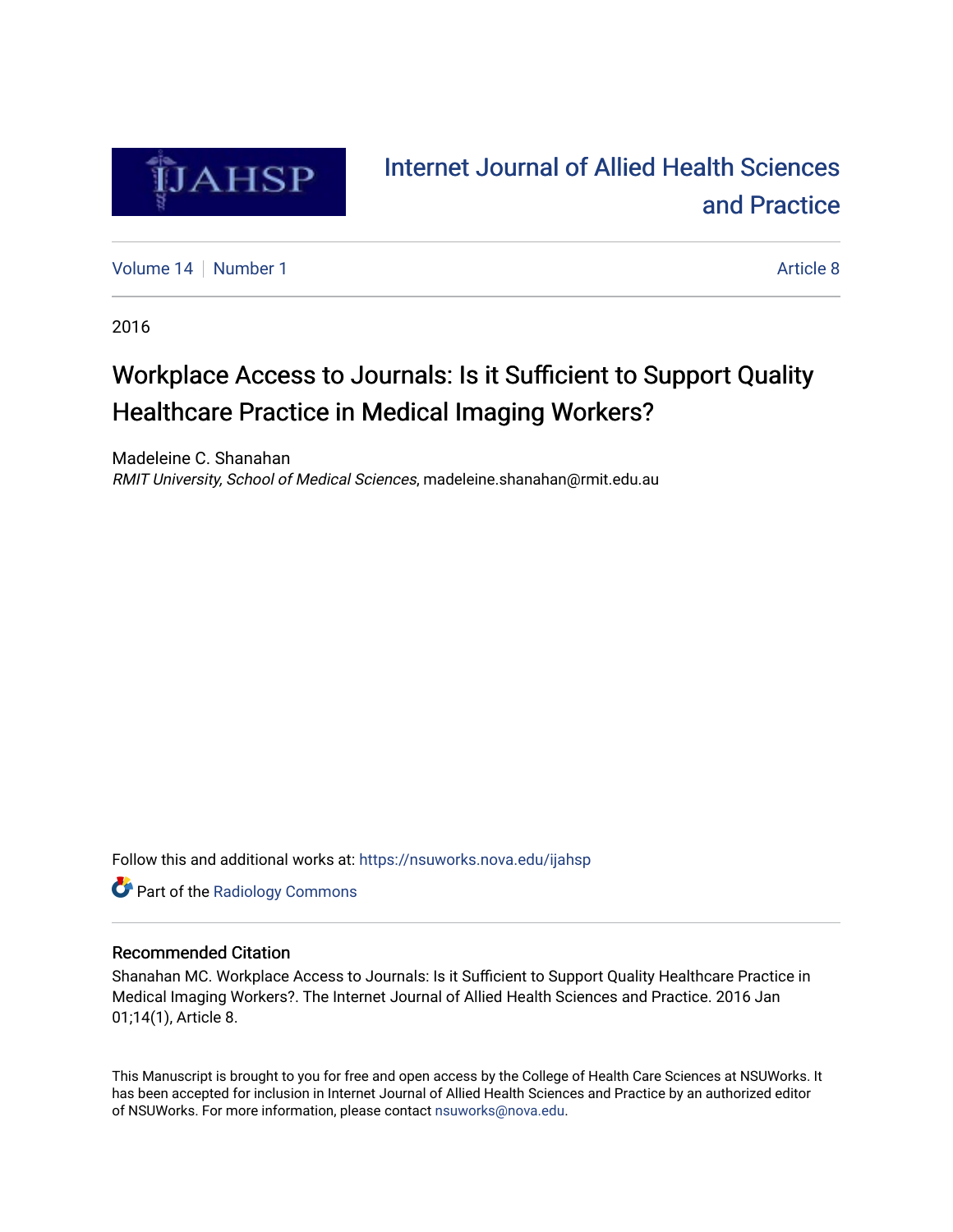

## [Internet Journal of Allied Health Sciences](https://nsuworks.nova.edu/ijahsp)  [and Practice](https://nsuworks.nova.edu/ijahsp)

[Volume 14](https://nsuworks.nova.edu/ijahsp/vol14) [Number 1](https://nsuworks.nova.edu/ijahsp/vol14/iss1) Article 8

2016

## Workplace Access to Journals: Is it Sufficient to Support Quality Healthcare Practice in Medical Imaging Workers?

Madeleine C. Shanahan RMIT University, School of Medical Sciences, madeleine.shanahan@rmit.edu.au

Follow this and additional works at: [https://nsuworks.nova.edu/ijahsp](https://nsuworks.nova.edu/ijahsp?utm_source=nsuworks.nova.edu%2Fijahsp%2Fvol14%2Fiss1%2F8&utm_medium=PDF&utm_campaign=PDFCoverPages) 

**Part of the Radiology Commons** 

#### Recommended Citation

Shanahan MC. Workplace Access to Journals: Is it Sufficient to Support Quality Healthcare Practice in Medical Imaging Workers?. The Internet Journal of Allied Health Sciences and Practice. 2016 Jan 01;14(1), Article 8.

This Manuscript is brought to you for free and open access by the College of Health Care Sciences at NSUWorks. It has been accepted for inclusion in Internet Journal of Allied Health Sciences and Practice by an authorized editor of NSUWorks. For more information, please contact [nsuworks@nova.edu.](mailto:nsuworks@nova.edu)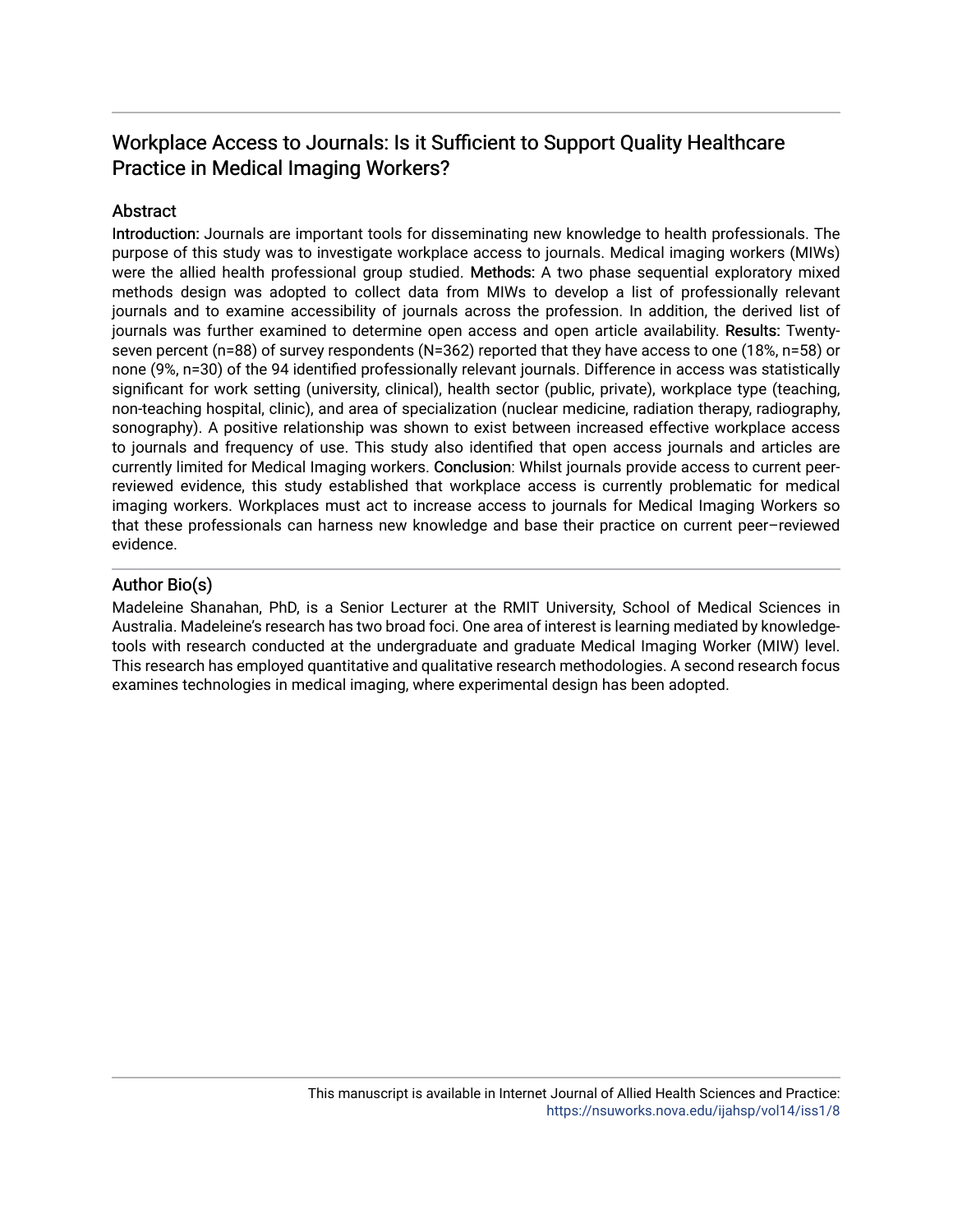### Workplace Access to Journals: Is it Sufficient to Support Quality Healthcare Practice in Medical Imaging Workers?

#### **Abstract**

Introduction: Journals are important tools for disseminating new knowledge to health professionals. The purpose of this study was to investigate workplace access to journals. Medical imaging workers (MIWs) were the allied health professional group studied. Methods: A two phase sequential exploratory mixed methods design was adopted to collect data from MIWs to develop a list of professionally relevant journals and to examine accessibility of journals across the profession. In addition, the derived list of journals was further examined to determine open access and open article availability. Results: Twentyseven percent (n=88) of survey respondents (N=362) reported that they have access to one (18%, n=58) or none (9%, n=30) of the 94 identified professionally relevant journals. Difference in access was statistically significant for work setting (university, clinical), health sector (public, private), workplace type (teaching, non-teaching hospital, clinic), and area of specialization (nuclear medicine, radiation therapy, radiography, sonography). A positive relationship was shown to exist between increased effective workplace access to journals and frequency of use. This study also identified that open access journals and articles are currently limited for Medical Imaging workers. Conclusion: Whilst journals provide access to current peerreviewed evidence, this study established that workplace access is currently problematic for medical imaging workers. Workplaces must act to increase access to journals for Medical Imaging Workers so that these professionals can harness new knowledge and base their practice on current peer–reviewed evidence.

#### Author Bio(s)

Madeleine Shanahan, PhD, is a Senior Lecturer at the RMIT University, School of Medical Sciences in Australia. Madeleine's research has two broad foci. One area of interest is learning mediated by knowledgetools with research conducted at the undergraduate and graduate Medical Imaging Worker (MIW) level. This research has employed quantitative and qualitative research methodologies. A second research focus examines technologies in medical imaging, where experimental design has been adopted.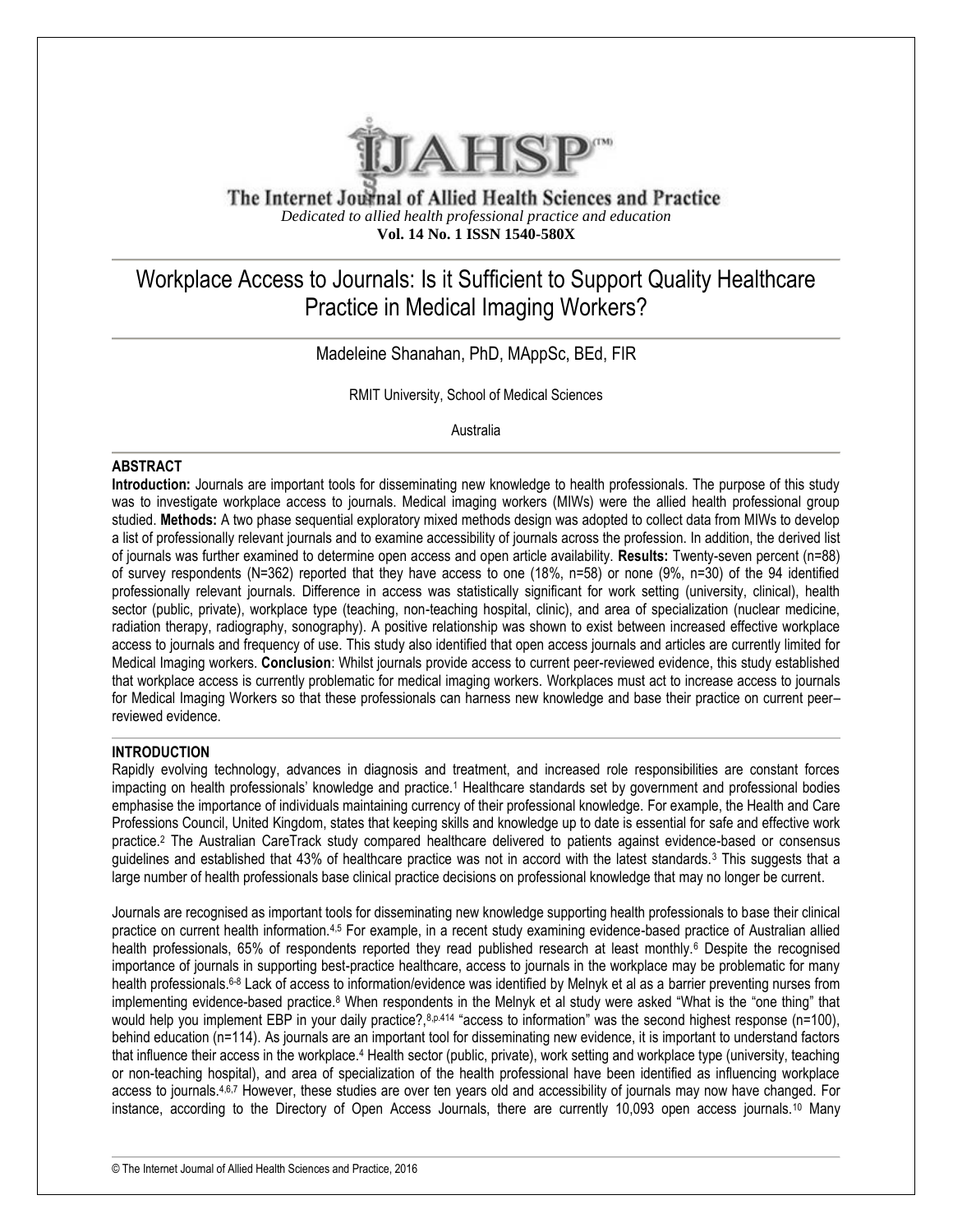

The Internet Journal of Allied Health Sciences and Practice *Dedicated to allied health professional practice and education* **Vol. 14 No. 1 ISSN 1540-580X**

## Workplace Access to Journals: Is it Sufficient to Support Quality Healthcare Practice in Medical Imaging Workers?

Madeleine Shanahan, PhD, MAppSc, BEd, FIR

RMIT University, School of Medical Sciences

Australia

#### **ABSTRACT**

**Introduction:** Journals are important tools for disseminating new knowledge to health professionals. The purpose of this study was to investigate workplace access to journals. Medical imaging workers (MIWs) were the allied health professional group studied. **Methods:** A two phase sequential exploratory mixed methods design was adopted to collect data from MIWs to develop a list of professionally relevant journals and to examine accessibility of journals across the profession. In addition, the derived list of journals was further examined to determine open access and open article availability. **Results:** Twenty-seven percent (n=88) of survey respondents (N=362) reported that they have access to one (18%, n=58) or none (9%, n=30) of the 94 identified professionally relevant journals. Difference in access was statistically significant for work setting (university, clinical), health sector (public, private), workplace type (teaching, non-teaching hospital, clinic), and area of specialization (nuclear medicine, radiation therapy, radiography, sonography). A positive relationship was shown to exist between increased effective workplace access to journals and frequency of use. This study also identified that open access journals and articles are currently limited for Medical Imaging workers. **Conclusion**: Whilst journals provide access to current peer-reviewed evidence, this study established that workplace access is currently problematic for medical imaging workers. Workplaces must act to increase access to journals for Medical Imaging Workers so that these professionals can harness new knowledge and base their practice on current peer– reviewed evidence.

#### **INTRODUCTION**

Rapidly evolving technology, advances in diagnosis and treatment, and increased role responsibilities are constant forces impacting on health professionals' knowledge and practice.<sup>1</sup> Healthcare standards set by government and professional bodies emphasise the importance of individuals maintaining currency of their professional knowledge. For example, the Health and Care Professions Council, United Kingdom, states that keeping skills and knowledge up to date is essential for safe and effective work practice.<sup>2</sup> The Australian CareTrack study compared healthcare delivered to patients against evidence-based or consensus guidelines and established that 43% of healthcare practice was not in accord with the latest standards.<sup>3</sup> This suggests that a large number of health professionals base clinical practice decisions on professional knowledge that may no longer be current.

Journals are recognised as important tools for disseminating new knowledge supporting health professionals to base their clinical practice on current health information.4,5 For example, in a recent study examining evidence-based practice of Australian allied health professionals, 65% of respondents reported they read published research at least monthly.<sup>6</sup> Despite the recognised importance of journals in supporting best-practice healthcare, access to journals in the workplace may be problematic for many health professionals.<sup>6-8</sup> Lack of access to information/evidence was identified by Melnyk et al as a barrier preventing nurses from implementing evidence-based practice.<sup>8</sup> When respondents in the Melnyk et al study were asked "What is the "one thing" that would help you implement EBP in your daily practice?, $8p.414$  "access to information" was the second highest response (n=100), behind education (n=114). As journals are an important tool for disseminating new evidence, it is important to understand factors that influence their access in the workplace.<sup>4</sup> Health sector (public, private), work setting and workplace type (university, teaching or non-teaching hospital), and area of specialization of the health professional have been identified as influencing workplace access to journals.<sup>4,6,7</sup> However, these studies are over ten years old and accessibility of journals may now have changed. For instance, according to the Directory of Open Access Journals, there are currently 10,093 open access journals.<sup>10</sup> Many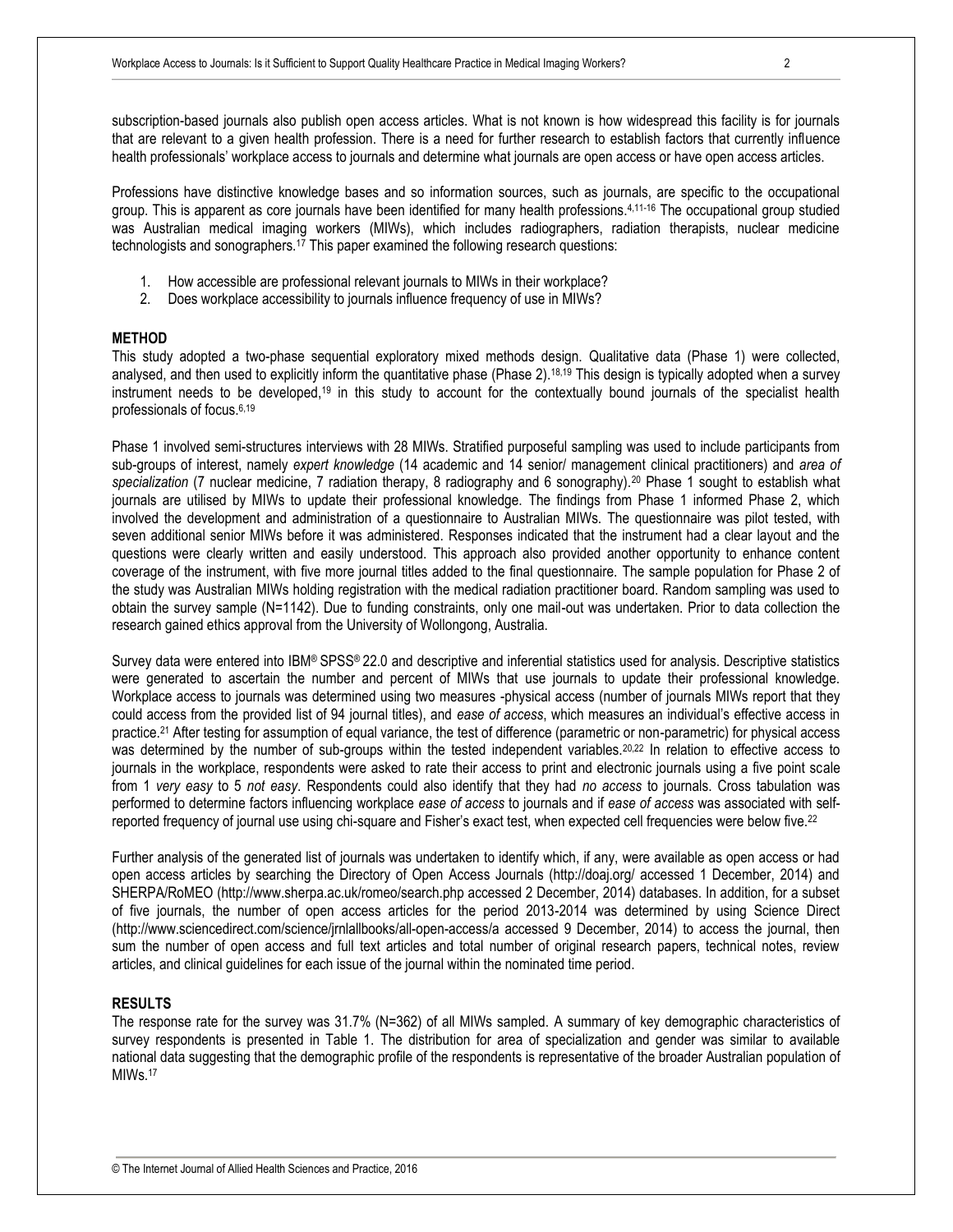subscription-based journals also publish open access articles. What is not known is how widespread this facility is for journals that are relevant to a given health profession. There is a need for further research to establish factors that currently influence health professionals' workplace access to journals and determine what journals are open access or have open access articles.

Professions have distinctive knowledge bases and so information sources, such as journals, are specific to the occupational group. This is apparent as core journals have been identified for many health professions. 4,11-16 The occupational group studied was Australian medical imaging workers (MIWs), which includes radiographers, radiation therapists, nuclear medicine technologists and sonographers.<sup>17</sup> This paper examined the following research questions:

- 1. How accessible are professional relevant journals to MIWs in their workplace?
- 2. Does workplace accessibility to journals influence frequency of use in MIWs?

#### **METHOD**

This study adopted a two-phase sequential exploratory mixed methods design. Qualitative data (Phase 1) were collected, analysed, and then used to explicitly inform the quantitative phase (Phase  $2)$ .<sup>[18,](#page-11-0)[19](#page-11-1)</sup> This design is typically adopted when a survey instrument needs to be developed,[19](#page-11-1) in this study to account for the contextually bound journals of the specialist health professionals of focus.6,19

Phase 1 involved semi-structures interviews with 28 MIWs. Stratified purposeful sampling was used to include participants from sub-groups of interest, namely *expert knowledge* (14 academic and 14 senior/ management clinical practitioners) and *area of specialization* (7 nuclear medicine, 7 radiation therapy, 8 radiography and 6 sonography).<sup>20</sup> Phase 1 sought to establish what journals are utilised by MIWs to update their professional knowledge. The findings from Phase 1 informed Phase 2, which involved the development and administration of a questionnaire to Australian MIWs. The questionnaire was pilot tested, with seven additional senior MIWs before it was administered. Responses indicated that the instrument had a clear layout and the questions were clearly written and easily understood. This approach also provided another opportunity to enhance content coverage of the instrument, with five more journal titles added to the final questionnaire. The sample population for Phase 2 of the study was Australian MIWs holding registration with the medical radiation practitioner board. Random sampling was used to obtain the survey sample (N=1142). Due to funding constraints, only one mail-out was undertaken. Prior to data collection the research gained ethics approval from the University of Wollongong, Australia.

Survey data were entered into IBM® SPSS® 22.0 and descriptive and inferential statistics used for analysis. Descriptive statistics were generated to ascertain the number and percent of MIWs that use journals to update their professional knowledge. Workplace access to journals was determined using two measures -physical access (number of journals MIWs report that they could access from the provided list of 94 journal titles), and *ease of access*, which measures an individual's effective access in practice.[21](#page-11-2) After testing for assumption of equal variance, the test of difference (parametric or non-parametric) for physical access was determined by the number of sub-groups within the tested independent variables.<sup>[20,](#page-11-3)[22](#page-11-4)</sup> In relation to effective access to journals in the workplace, respondents were asked to rate their access to print and electronic journals using a five point scale from 1 *very easy* to 5 *not easy*. Respondents could also identify that they had *no access* to journals. Cross tabulation was performed to determine factors influencing workplace *ease of access* to journals and if *ease of access* was associated with selfreported frequency of journal use using chi-square and Fisher's exact test, when expected cell frequencies were below five.[22](#page-11-4)

Further analysis of the generated list of journals was undertaken to identify which, if any, were available as open access or had open access articles by searching the Directory of Open Access Journals (http://doaj.org/ accessed 1 December, 2014) and SHERPA/RoMEO (http://www.sherpa.ac.uk/romeo/search.php accessed 2 December, 2014) databases. In addition, for a subset of five journals, the number of open access articles for the period 2013-2014 was determined by using Science Direct (http://www.sciencedirect.com/science/jrnlallbooks/all-open-access/a accessed 9 December, 2014) to access the journal, then sum the number of open access and full text articles and total number of original research papers, technical notes, review articles, and clinical guidelines for each issue of the journal within the nominated time period.

#### **RESULTS**

The response rate for the survey was 31.7% (N=362) of all MIWs sampled. A summary of key demographic characteristics of survey respondents is presented in Table 1. The distribution for area of specialization and gender was similar to available national data suggesting that the demographic profile of the respondents is representative of the broader Australian population of MIW<sub>s.<sup>17</sup></sub>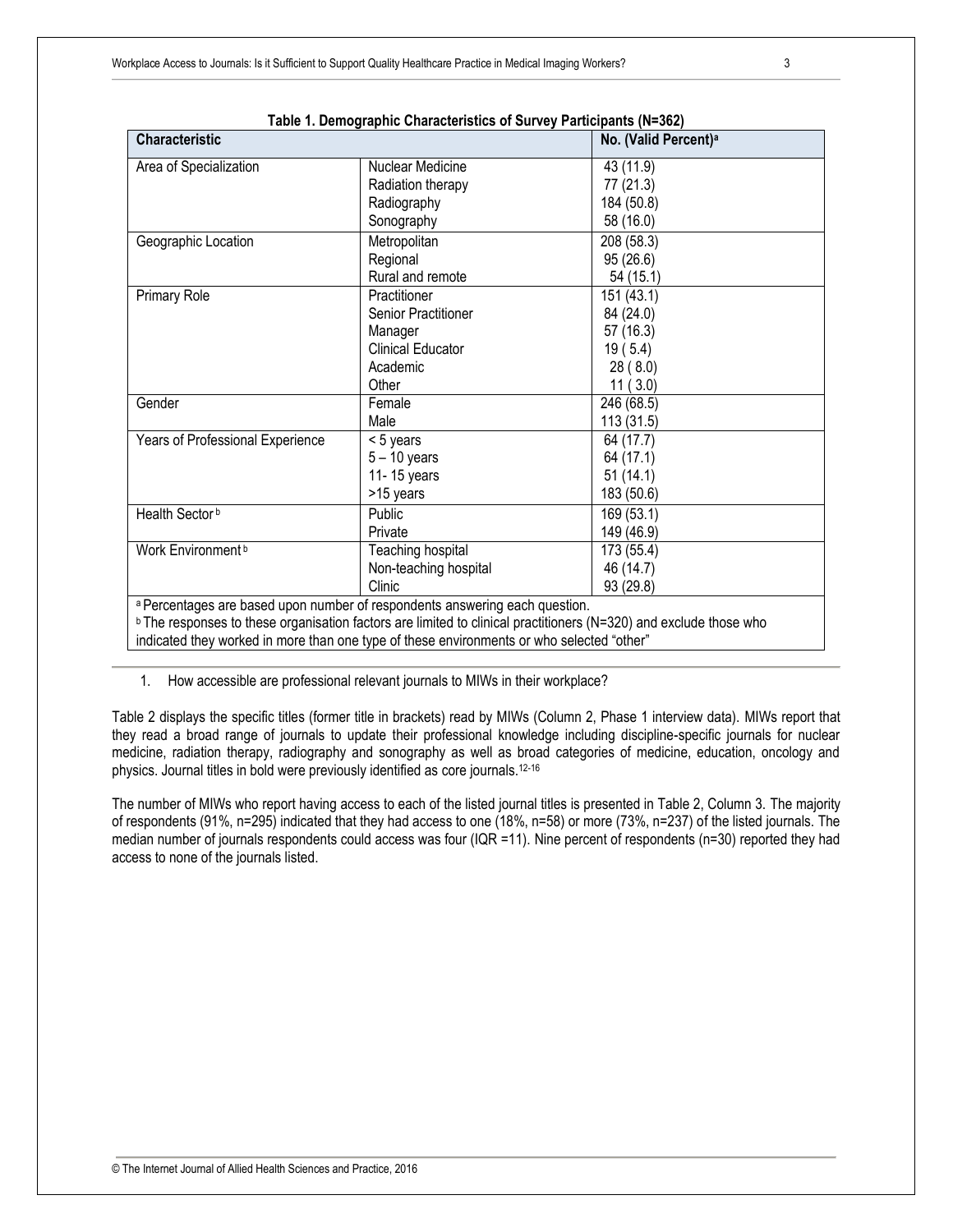| Table 1. Demographic Unaracteristics of Survey Participants (N-362)                                                           |                                  |            |  |  |
|-------------------------------------------------------------------------------------------------------------------------------|----------------------------------|------------|--|--|
| <b>Characteristic</b>                                                                                                         | No. (Valid Percent) <sup>a</sup> |            |  |  |
| Area of Specialization                                                                                                        | Nuclear Medicine                 | 43 (11.9)  |  |  |
|                                                                                                                               | Radiation therapy                | 77 (21.3)  |  |  |
|                                                                                                                               | Radiography                      | 184 (50.8) |  |  |
|                                                                                                                               | Sonography                       | 58 (16.0)  |  |  |
|                                                                                                                               |                                  | 208 (58.3) |  |  |
| Geographic Location                                                                                                           | Metropolitan                     |            |  |  |
|                                                                                                                               | Regional                         | 95(26.6)   |  |  |
|                                                                                                                               | Rural and remote                 | 54 (15.1)  |  |  |
| Primary Role                                                                                                                  | Practitioner                     | 151 (43.1) |  |  |
|                                                                                                                               | <b>Senior Practitioner</b>       | 84 (24.0)  |  |  |
|                                                                                                                               | Manager                          | 57 (16.3)  |  |  |
|                                                                                                                               | <b>Clinical Educator</b>         | 19(5.4)    |  |  |
|                                                                                                                               | Academic                         | 28 (8.0)   |  |  |
|                                                                                                                               | Other                            | 11(3.0)    |  |  |
| Gender                                                                                                                        | Female                           | 246 (68.5) |  |  |
|                                                                                                                               | Male                             | 113 (31.5) |  |  |
| Years of Professional Experience                                                                                              | < 5 years                        | 64 (17.7)  |  |  |
|                                                                                                                               | $5 - 10$ years                   | 64 (17.1)  |  |  |
|                                                                                                                               | 11-15 years                      | 51(14.1)   |  |  |
|                                                                                                                               | >15 years                        | 183 (50.6) |  |  |
| Health Sector <sup>b</sup>                                                                                                    | Public                           | 169 (53.1) |  |  |
|                                                                                                                               | Private                          | 149 (46.9) |  |  |
| Work Environment <sup>b</sup>                                                                                                 | Teaching hospital                | 173 (55.4) |  |  |
|                                                                                                                               | Non-teaching hospital            | 46 (14.7)  |  |  |
|                                                                                                                               | Clinic                           | 93 (29.8)  |  |  |
| a Percentages are based upon number of respondents answering each question.                                                   |                                  |            |  |  |
| $\textdegree$ The responses to these organisation factors are limited to clinical practitioners (N=320) and exclude those who |                                  |            |  |  |
| indicated they worked in more than one type of these environments or who selected "other"                                     |                                  |            |  |  |

| Table 1. Demographic Characteristics of Survey Participants (N=362) |
|---------------------------------------------------------------------|
|---------------------------------------------------------------------|

1. How accessible are professional relevant journals to MIWs in their workplace?

Table 2 displays the specific titles (former title in brackets) read by MIWs (Column 2, Phase 1 interview data). MIWs report that they read a broad range of journals to update their professional knowledge including discipline-specific journals for nuclear medicine, radiation therapy, radiography and sonography as well as broad categories of medicine, education, oncology and physics. Journal titles in bold were previously identified as core journals.12-16

The number of MIWs who report having access to each of the listed journal titles is presented in Table 2, Column 3. The majority of respondents (91%, n=295) indicated that they had access to one (18%, n=58) or more (73%, n=237) of the listed journals. The median number of journals respondents could access was four (IQR =11). Nine percent of respondents (n=30) reported they had access to none of the journals listed.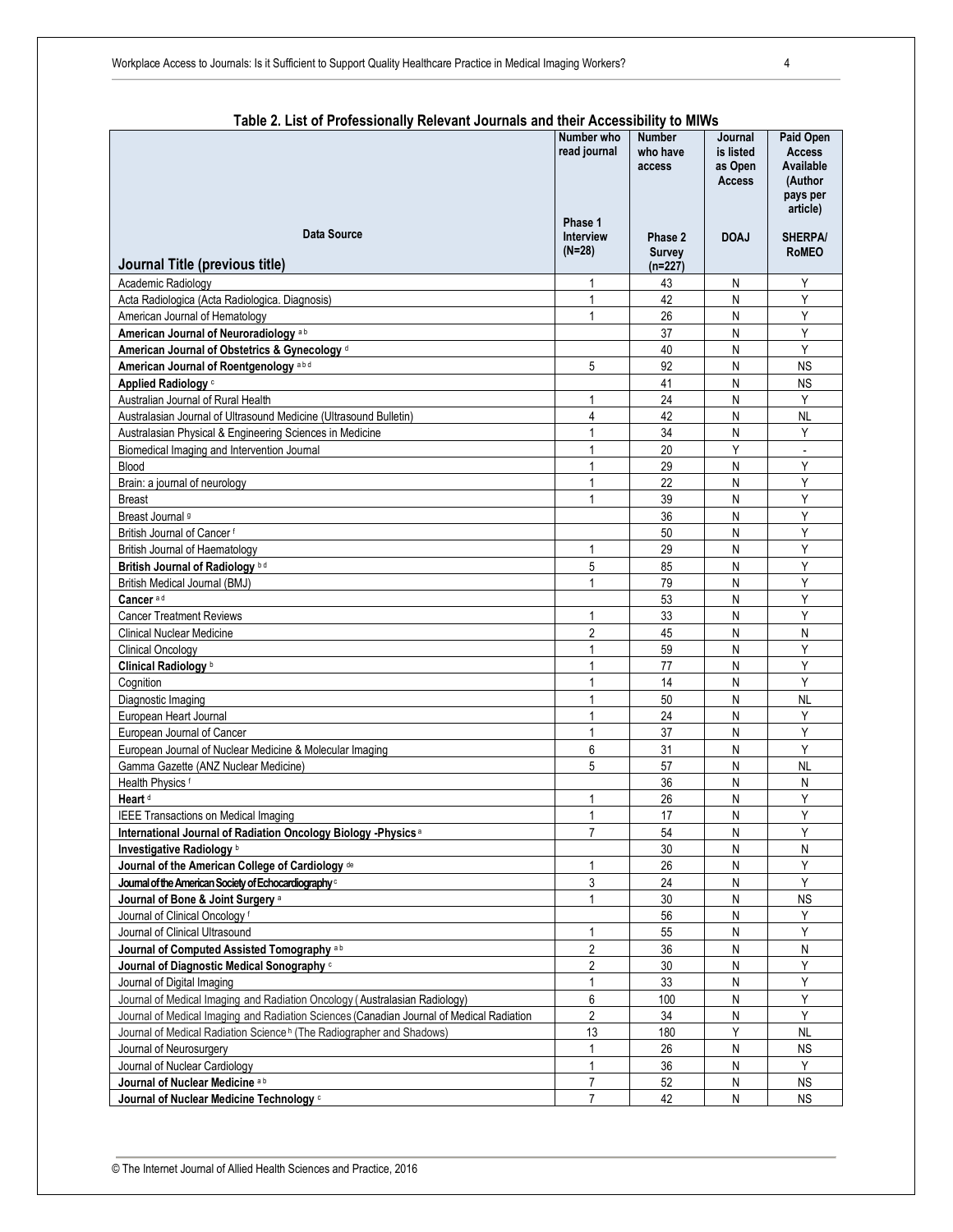| Number who<br><b>Number</b><br><b>Paid Open</b><br>Journal<br>read journal<br>who have<br>is listed<br><b>Access</b><br>Available<br>as Open<br>access<br>(Author<br>Access<br>pays per<br>article)<br>Phase 1<br>Data Source<br><b>Interview</b><br>Phase 2<br><b>DOAJ</b><br><b>SHERPA/</b><br>$(N=28)$<br><b>RoMEO</b><br><b>Survey</b><br>Journal Title (previous title)<br>$(n=227)$<br>Academic Radiology<br>1<br>43<br>N<br>Y<br>Υ<br>Acta Radiologica (Acta Radiologica. Diagnosis)<br>42<br>N<br>1<br>Y<br>1<br>26<br>N<br>American Journal of Hematology<br>Υ<br>37<br>N<br>American Journal of Neuroradiology <sup>ab</sup><br>Y<br>American Journal of Obstetrics & Gynecology <sup>d</sup><br>40<br>N<br>American Journal of Roentgenology <sup>abd</sup><br>5<br>92<br>N<br><b>NS</b><br>41<br><b>NS</b><br>Applied Radiology <sup>c</sup><br>N<br>24<br>N<br>Y<br>1<br>Australian Journal of Rural Health<br>4<br>Australasian Journal of Ultrasound Medicine (Ultrasound Bulletin)<br>42<br>N<br><b>NL</b><br>34<br>Y<br>Australasian Physical & Engineering Sciences in Medicine<br>1<br>N<br>Y<br>Biomedical Imaging and Intervention Journal<br>20<br>1<br>$\blacksquare$<br>Y<br>29<br>Blood<br>N<br>Y<br>22<br>N<br>1<br>Brain: a journal of neurology<br>39<br>${\sf N}$<br>Y<br><b>Breast</b><br>1<br>Y<br>36<br>N<br>Breast Journal <sup>9</sup><br>Y<br>N<br>British Journal of Cancer f<br>50<br>Y<br>29<br>N<br>British Journal of Haematology<br>1<br>Υ<br>5<br>85<br>British Journal of Radiology bd<br>N<br>Y<br>British Medical Journal (BMJ)<br>79<br>N<br>1<br>Cancer <sup>ad</sup><br>53<br>N<br>Y<br>Y<br>33<br>N<br><b>Cancer Treatment Reviews</b><br>1<br>$\overline{2}$<br>45<br>N<br>N<br><b>Clinical Nuclear Medicine</b><br>Υ<br>${\sf N}$<br>59<br><b>Clinical Oncology</b><br>1<br>Clinical Radiology b<br>Y<br>77<br>N<br>Y<br>14<br>N<br>Cognition<br>1<br>50<br><b>NL</b><br>N<br>Diagnostic Imaging<br>Υ<br>24<br>N<br>European Heart Journal<br>1<br>Υ<br>37<br>N<br>European Journal of Cancer<br>1<br>31<br>N<br>Y<br>European Journal of Nuclear Medicine & Molecular Imaging<br>6<br>5<br>57<br>${\sf N}$<br><b>NL</b><br>Gamma Gazette (ANZ Nuclear Medicine)<br>Health Physics <sup>f</sup><br>36<br>N<br>N<br>Y<br>26<br>N<br>Heart <sup>d</sup><br>1<br>17<br>Υ<br>$\mathbf{1}$<br>N<br>IEEE Transactions on Medical Imaging<br>$\overline{7}$<br>Y<br>54<br>International Journal of Radiation Oncology Biology - Physics <sup>a</sup><br>${\sf N}$<br>30<br>Investigative Radiology b<br>N<br>N<br>Υ<br>Journal of the American College of Cardiology de<br>26<br>N<br>1<br>3<br>Y<br>Journal of the American Society of Echocardiography <sup>c</sup><br>24<br>${\sf N}$<br>Journal of Bone & Joint Surgery a<br>30<br>${\sf N}$<br><b>NS</b><br>1<br>56<br>N<br>Y<br>Journal of Clinical Oncology <sup>f</sup><br>55<br>Y<br>Journal of Clinical Ultrasound<br>${\sf N}$<br>1<br>$\sqrt{2}$<br>36<br>N<br>${\sf N}$<br>Journal of Computed Assisted Tomography ab<br>Journal of Diagnostic Medical Sonography c<br>$\overline{2}$<br>Y<br>30<br>${\sf N}$<br>Journal of Digital Imaging<br>33<br>${\sf N}$<br>Υ<br>1<br>6<br>Y<br>Journal of Medical Imaging and Radiation Oncology (Australasian Radiology)<br>100<br>${\sf N}$<br>$\sqrt{2}$<br>Y<br>34<br>Journal of Medical Imaging and Radiation Sciences (Canadian Journal of Medical Radiation<br>${\sf N}$<br>Y<br>Journal of Medical Radiation Science <sup>h</sup> (The Radiographer and Shadows)<br>13<br><b>NL</b><br>180<br>Journal of Neurosurgery<br>1<br>26<br>N<br><b>NS</b><br>36<br>Journal of Nuclear Cardiology<br>1<br>N<br>Y<br>$\overline{7}$<br>52<br><b>NS</b><br>Journal of Nuclear Medicine ab<br>N<br>$\overline{7}$<br>42<br>${\sf N}$<br><b>NS</b><br>Journal of Nuclear Medicine Technology of | Table 2. List of Professionally Relevant Journals and their Accessibility to Milws |  |  |
|---------------------------------------------------------------------------------------------------------------------------------------------------------------------------------------------------------------------------------------------------------------------------------------------------------------------------------------------------------------------------------------------------------------------------------------------------------------------------------------------------------------------------------------------------------------------------------------------------------------------------------------------------------------------------------------------------------------------------------------------------------------------------------------------------------------------------------------------------------------------------------------------------------------------------------------------------------------------------------------------------------------------------------------------------------------------------------------------------------------------------------------------------------------------------------------------------------------------------------------------------------------------------------------------------------------------------------------------------------------------------------------------------------------------------------------------------------------------------------------------------------------------------------------------------------------------------------------------------------------------------------------------------------------------------------------------------------------------------------------------------------------------------------------------------------------------------------------------------------------------------------------------------------------------------------------------------------------------------------------------------------------------------------------------------------------------------------------------------------------------------------------------------------------------------------------------------------------------------------------------------------------------------------------------------------------------------------------------------------------------------------------------------------------------------------------------------------------------------------------------------------------------------------------------------------------------------------------------------------------------------------------------------------------------------------------------------------------------------------------------------------------------------------------------------------------------------------------------------------------------------------------------------------------------------------------------------------------------------------------------------------------------------------------------------------------------------------------------------------------------------------------------------------------------------------------------------------------------------------------------------------------------------------------------------------------------------------------------------------------------------------------------------------------------------------------------------------------------------------------------------------------------------------------------------------------------------------------------------------------------------------------------------------------------------------------------------------------------------------------------------------------------------------------------------------------------------------------------|------------------------------------------------------------------------------------|--|--|
|                                                                                                                                                                                                                                                                                                                                                                                                                                                                                                                                                                                                                                                                                                                                                                                                                                                                                                                                                                                                                                                                                                                                                                                                                                                                                                                                                                                                                                                                                                                                                                                                                                                                                                                                                                                                                                                                                                                                                                                                                                                                                                                                                                                                                                                                                                                                                                                                                                                                                                                                                                                                                                                                                                                                                                                                                                                                                                                                                                                                                                                                                                                                                                                                                                                                                                                                                                                                                                                                                                                                                                                                                                                                                                                                                                                                                                             |                                                                                    |  |  |
|                                                                                                                                                                                                                                                                                                                                                                                                                                                                                                                                                                                                                                                                                                                                                                                                                                                                                                                                                                                                                                                                                                                                                                                                                                                                                                                                                                                                                                                                                                                                                                                                                                                                                                                                                                                                                                                                                                                                                                                                                                                                                                                                                                                                                                                                                                                                                                                                                                                                                                                                                                                                                                                                                                                                                                                                                                                                                                                                                                                                                                                                                                                                                                                                                                                                                                                                                                                                                                                                                                                                                                                                                                                                                                                                                                                                                                             |                                                                                    |  |  |
|                                                                                                                                                                                                                                                                                                                                                                                                                                                                                                                                                                                                                                                                                                                                                                                                                                                                                                                                                                                                                                                                                                                                                                                                                                                                                                                                                                                                                                                                                                                                                                                                                                                                                                                                                                                                                                                                                                                                                                                                                                                                                                                                                                                                                                                                                                                                                                                                                                                                                                                                                                                                                                                                                                                                                                                                                                                                                                                                                                                                                                                                                                                                                                                                                                                                                                                                                                                                                                                                                                                                                                                                                                                                                                                                                                                                                                             |                                                                                    |  |  |
|                                                                                                                                                                                                                                                                                                                                                                                                                                                                                                                                                                                                                                                                                                                                                                                                                                                                                                                                                                                                                                                                                                                                                                                                                                                                                                                                                                                                                                                                                                                                                                                                                                                                                                                                                                                                                                                                                                                                                                                                                                                                                                                                                                                                                                                                                                                                                                                                                                                                                                                                                                                                                                                                                                                                                                                                                                                                                                                                                                                                                                                                                                                                                                                                                                                                                                                                                                                                                                                                                                                                                                                                                                                                                                                                                                                                                                             |                                                                                    |  |  |
|                                                                                                                                                                                                                                                                                                                                                                                                                                                                                                                                                                                                                                                                                                                                                                                                                                                                                                                                                                                                                                                                                                                                                                                                                                                                                                                                                                                                                                                                                                                                                                                                                                                                                                                                                                                                                                                                                                                                                                                                                                                                                                                                                                                                                                                                                                                                                                                                                                                                                                                                                                                                                                                                                                                                                                                                                                                                                                                                                                                                                                                                                                                                                                                                                                                                                                                                                                                                                                                                                                                                                                                                                                                                                                                                                                                                                                             |                                                                                    |  |  |
|                                                                                                                                                                                                                                                                                                                                                                                                                                                                                                                                                                                                                                                                                                                                                                                                                                                                                                                                                                                                                                                                                                                                                                                                                                                                                                                                                                                                                                                                                                                                                                                                                                                                                                                                                                                                                                                                                                                                                                                                                                                                                                                                                                                                                                                                                                                                                                                                                                                                                                                                                                                                                                                                                                                                                                                                                                                                                                                                                                                                                                                                                                                                                                                                                                                                                                                                                                                                                                                                                                                                                                                                                                                                                                                                                                                                                                             |                                                                                    |  |  |
|                                                                                                                                                                                                                                                                                                                                                                                                                                                                                                                                                                                                                                                                                                                                                                                                                                                                                                                                                                                                                                                                                                                                                                                                                                                                                                                                                                                                                                                                                                                                                                                                                                                                                                                                                                                                                                                                                                                                                                                                                                                                                                                                                                                                                                                                                                                                                                                                                                                                                                                                                                                                                                                                                                                                                                                                                                                                                                                                                                                                                                                                                                                                                                                                                                                                                                                                                                                                                                                                                                                                                                                                                                                                                                                                                                                                                                             |                                                                                    |  |  |
|                                                                                                                                                                                                                                                                                                                                                                                                                                                                                                                                                                                                                                                                                                                                                                                                                                                                                                                                                                                                                                                                                                                                                                                                                                                                                                                                                                                                                                                                                                                                                                                                                                                                                                                                                                                                                                                                                                                                                                                                                                                                                                                                                                                                                                                                                                                                                                                                                                                                                                                                                                                                                                                                                                                                                                                                                                                                                                                                                                                                                                                                                                                                                                                                                                                                                                                                                                                                                                                                                                                                                                                                                                                                                                                                                                                                                                             |                                                                                    |  |  |
|                                                                                                                                                                                                                                                                                                                                                                                                                                                                                                                                                                                                                                                                                                                                                                                                                                                                                                                                                                                                                                                                                                                                                                                                                                                                                                                                                                                                                                                                                                                                                                                                                                                                                                                                                                                                                                                                                                                                                                                                                                                                                                                                                                                                                                                                                                                                                                                                                                                                                                                                                                                                                                                                                                                                                                                                                                                                                                                                                                                                                                                                                                                                                                                                                                                                                                                                                                                                                                                                                                                                                                                                                                                                                                                                                                                                                                             |                                                                                    |  |  |
|                                                                                                                                                                                                                                                                                                                                                                                                                                                                                                                                                                                                                                                                                                                                                                                                                                                                                                                                                                                                                                                                                                                                                                                                                                                                                                                                                                                                                                                                                                                                                                                                                                                                                                                                                                                                                                                                                                                                                                                                                                                                                                                                                                                                                                                                                                                                                                                                                                                                                                                                                                                                                                                                                                                                                                                                                                                                                                                                                                                                                                                                                                                                                                                                                                                                                                                                                                                                                                                                                                                                                                                                                                                                                                                                                                                                                                             |                                                                                    |  |  |
|                                                                                                                                                                                                                                                                                                                                                                                                                                                                                                                                                                                                                                                                                                                                                                                                                                                                                                                                                                                                                                                                                                                                                                                                                                                                                                                                                                                                                                                                                                                                                                                                                                                                                                                                                                                                                                                                                                                                                                                                                                                                                                                                                                                                                                                                                                                                                                                                                                                                                                                                                                                                                                                                                                                                                                                                                                                                                                                                                                                                                                                                                                                                                                                                                                                                                                                                                                                                                                                                                                                                                                                                                                                                                                                                                                                                                                             |                                                                                    |  |  |
|                                                                                                                                                                                                                                                                                                                                                                                                                                                                                                                                                                                                                                                                                                                                                                                                                                                                                                                                                                                                                                                                                                                                                                                                                                                                                                                                                                                                                                                                                                                                                                                                                                                                                                                                                                                                                                                                                                                                                                                                                                                                                                                                                                                                                                                                                                                                                                                                                                                                                                                                                                                                                                                                                                                                                                                                                                                                                                                                                                                                                                                                                                                                                                                                                                                                                                                                                                                                                                                                                                                                                                                                                                                                                                                                                                                                                                             |                                                                                    |  |  |
|                                                                                                                                                                                                                                                                                                                                                                                                                                                                                                                                                                                                                                                                                                                                                                                                                                                                                                                                                                                                                                                                                                                                                                                                                                                                                                                                                                                                                                                                                                                                                                                                                                                                                                                                                                                                                                                                                                                                                                                                                                                                                                                                                                                                                                                                                                                                                                                                                                                                                                                                                                                                                                                                                                                                                                                                                                                                                                                                                                                                                                                                                                                                                                                                                                                                                                                                                                                                                                                                                                                                                                                                                                                                                                                                                                                                                                             |                                                                                    |  |  |
|                                                                                                                                                                                                                                                                                                                                                                                                                                                                                                                                                                                                                                                                                                                                                                                                                                                                                                                                                                                                                                                                                                                                                                                                                                                                                                                                                                                                                                                                                                                                                                                                                                                                                                                                                                                                                                                                                                                                                                                                                                                                                                                                                                                                                                                                                                                                                                                                                                                                                                                                                                                                                                                                                                                                                                                                                                                                                                                                                                                                                                                                                                                                                                                                                                                                                                                                                                                                                                                                                                                                                                                                                                                                                                                                                                                                                                             |                                                                                    |  |  |
|                                                                                                                                                                                                                                                                                                                                                                                                                                                                                                                                                                                                                                                                                                                                                                                                                                                                                                                                                                                                                                                                                                                                                                                                                                                                                                                                                                                                                                                                                                                                                                                                                                                                                                                                                                                                                                                                                                                                                                                                                                                                                                                                                                                                                                                                                                                                                                                                                                                                                                                                                                                                                                                                                                                                                                                                                                                                                                                                                                                                                                                                                                                                                                                                                                                                                                                                                                                                                                                                                                                                                                                                                                                                                                                                                                                                                                             |                                                                                    |  |  |
|                                                                                                                                                                                                                                                                                                                                                                                                                                                                                                                                                                                                                                                                                                                                                                                                                                                                                                                                                                                                                                                                                                                                                                                                                                                                                                                                                                                                                                                                                                                                                                                                                                                                                                                                                                                                                                                                                                                                                                                                                                                                                                                                                                                                                                                                                                                                                                                                                                                                                                                                                                                                                                                                                                                                                                                                                                                                                                                                                                                                                                                                                                                                                                                                                                                                                                                                                                                                                                                                                                                                                                                                                                                                                                                                                                                                                                             |                                                                                    |  |  |
|                                                                                                                                                                                                                                                                                                                                                                                                                                                                                                                                                                                                                                                                                                                                                                                                                                                                                                                                                                                                                                                                                                                                                                                                                                                                                                                                                                                                                                                                                                                                                                                                                                                                                                                                                                                                                                                                                                                                                                                                                                                                                                                                                                                                                                                                                                                                                                                                                                                                                                                                                                                                                                                                                                                                                                                                                                                                                                                                                                                                                                                                                                                                                                                                                                                                                                                                                                                                                                                                                                                                                                                                                                                                                                                                                                                                                                             |                                                                                    |  |  |
|                                                                                                                                                                                                                                                                                                                                                                                                                                                                                                                                                                                                                                                                                                                                                                                                                                                                                                                                                                                                                                                                                                                                                                                                                                                                                                                                                                                                                                                                                                                                                                                                                                                                                                                                                                                                                                                                                                                                                                                                                                                                                                                                                                                                                                                                                                                                                                                                                                                                                                                                                                                                                                                                                                                                                                                                                                                                                                                                                                                                                                                                                                                                                                                                                                                                                                                                                                                                                                                                                                                                                                                                                                                                                                                                                                                                                                             |                                                                                    |  |  |
|                                                                                                                                                                                                                                                                                                                                                                                                                                                                                                                                                                                                                                                                                                                                                                                                                                                                                                                                                                                                                                                                                                                                                                                                                                                                                                                                                                                                                                                                                                                                                                                                                                                                                                                                                                                                                                                                                                                                                                                                                                                                                                                                                                                                                                                                                                                                                                                                                                                                                                                                                                                                                                                                                                                                                                                                                                                                                                                                                                                                                                                                                                                                                                                                                                                                                                                                                                                                                                                                                                                                                                                                                                                                                                                                                                                                                                             |                                                                                    |  |  |
|                                                                                                                                                                                                                                                                                                                                                                                                                                                                                                                                                                                                                                                                                                                                                                                                                                                                                                                                                                                                                                                                                                                                                                                                                                                                                                                                                                                                                                                                                                                                                                                                                                                                                                                                                                                                                                                                                                                                                                                                                                                                                                                                                                                                                                                                                                                                                                                                                                                                                                                                                                                                                                                                                                                                                                                                                                                                                                                                                                                                                                                                                                                                                                                                                                                                                                                                                                                                                                                                                                                                                                                                                                                                                                                                                                                                                                             |                                                                                    |  |  |
|                                                                                                                                                                                                                                                                                                                                                                                                                                                                                                                                                                                                                                                                                                                                                                                                                                                                                                                                                                                                                                                                                                                                                                                                                                                                                                                                                                                                                                                                                                                                                                                                                                                                                                                                                                                                                                                                                                                                                                                                                                                                                                                                                                                                                                                                                                                                                                                                                                                                                                                                                                                                                                                                                                                                                                                                                                                                                                                                                                                                                                                                                                                                                                                                                                                                                                                                                                                                                                                                                                                                                                                                                                                                                                                                                                                                                                             |                                                                                    |  |  |
|                                                                                                                                                                                                                                                                                                                                                                                                                                                                                                                                                                                                                                                                                                                                                                                                                                                                                                                                                                                                                                                                                                                                                                                                                                                                                                                                                                                                                                                                                                                                                                                                                                                                                                                                                                                                                                                                                                                                                                                                                                                                                                                                                                                                                                                                                                                                                                                                                                                                                                                                                                                                                                                                                                                                                                                                                                                                                                                                                                                                                                                                                                                                                                                                                                                                                                                                                                                                                                                                                                                                                                                                                                                                                                                                                                                                                                             |                                                                                    |  |  |
|                                                                                                                                                                                                                                                                                                                                                                                                                                                                                                                                                                                                                                                                                                                                                                                                                                                                                                                                                                                                                                                                                                                                                                                                                                                                                                                                                                                                                                                                                                                                                                                                                                                                                                                                                                                                                                                                                                                                                                                                                                                                                                                                                                                                                                                                                                                                                                                                                                                                                                                                                                                                                                                                                                                                                                                                                                                                                                                                                                                                                                                                                                                                                                                                                                                                                                                                                                                                                                                                                                                                                                                                                                                                                                                                                                                                                                             |                                                                                    |  |  |
|                                                                                                                                                                                                                                                                                                                                                                                                                                                                                                                                                                                                                                                                                                                                                                                                                                                                                                                                                                                                                                                                                                                                                                                                                                                                                                                                                                                                                                                                                                                                                                                                                                                                                                                                                                                                                                                                                                                                                                                                                                                                                                                                                                                                                                                                                                                                                                                                                                                                                                                                                                                                                                                                                                                                                                                                                                                                                                                                                                                                                                                                                                                                                                                                                                                                                                                                                                                                                                                                                                                                                                                                                                                                                                                                                                                                                                             |                                                                                    |  |  |
|                                                                                                                                                                                                                                                                                                                                                                                                                                                                                                                                                                                                                                                                                                                                                                                                                                                                                                                                                                                                                                                                                                                                                                                                                                                                                                                                                                                                                                                                                                                                                                                                                                                                                                                                                                                                                                                                                                                                                                                                                                                                                                                                                                                                                                                                                                                                                                                                                                                                                                                                                                                                                                                                                                                                                                                                                                                                                                                                                                                                                                                                                                                                                                                                                                                                                                                                                                                                                                                                                                                                                                                                                                                                                                                                                                                                                                             |                                                                                    |  |  |
|                                                                                                                                                                                                                                                                                                                                                                                                                                                                                                                                                                                                                                                                                                                                                                                                                                                                                                                                                                                                                                                                                                                                                                                                                                                                                                                                                                                                                                                                                                                                                                                                                                                                                                                                                                                                                                                                                                                                                                                                                                                                                                                                                                                                                                                                                                                                                                                                                                                                                                                                                                                                                                                                                                                                                                                                                                                                                                                                                                                                                                                                                                                                                                                                                                                                                                                                                                                                                                                                                                                                                                                                                                                                                                                                                                                                                                             |                                                                                    |  |  |
|                                                                                                                                                                                                                                                                                                                                                                                                                                                                                                                                                                                                                                                                                                                                                                                                                                                                                                                                                                                                                                                                                                                                                                                                                                                                                                                                                                                                                                                                                                                                                                                                                                                                                                                                                                                                                                                                                                                                                                                                                                                                                                                                                                                                                                                                                                                                                                                                                                                                                                                                                                                                                                                                                                                                                                                                                                                                                                                                                                                                                                                                                                                                                                                                                                                                                                                                                                                                                                                                                                                                                                                                                                                                                                                                                                                                                                             |                                                                                    |  |  |
|                                                                                                                                                                                                                                                                                                                                                                                                                                                                                                                                                                                                                                                                                                                                                                                                                                                                                                                                                                                                                                                                                                                                                                                                                                                                                                                                                                                                                                                                                                                                                                                                                                                                                                                                                                                                                                                                                                                                                                                                                                                                                                                                                                                                                                                                                                                                                                                                                                                                                                                                                                                                                                                                                                                                                                                                                                                                                                                                                                                                                                                                                                                                                                                                                                                                                                                                                                                                                                                                                                                                                                                                                                                                                                                                                                                                                                             |                                                                                    |  |  |
|                                                                                                                                                                                                                                                                                                                                                                                                                                                                                                                                                                                                                                                                                                                                                                                                                                                                                                                                                                                                                                                                                                                                                                                                                                                                                                                                                                                                                                                                                                                                                                                                                                                                                                                                                                                                                                                                                                                                                                                                                                                                                                                                                                                                                                                                                                                                                                                                                                                                                                                                                                                                                                                                                                                                                                                                                                                                                                                                                                                                                                                                                                                                                                                                                                                                                                                                                                                                                                                                                                                                                                                                                                                                                                                                                                                                                                             |                                                                                    |  |  |
|                                                                                                                                                                                                                                                                                                                                                                                                                                                                                                                                                                                                                                                                                                                                                                                                                                                                                                                                                                                                                                                                                                                                                                                                                                                                                                                                                                                                                                                                                                                                                                                                                                                                                                                                                                                                                                                                                                                                                                                                                                                                                                                                                                                                                                                                                                                                                                                                                                                                                                                                                                                                                                                                                                                                                                                                                                                                                                                                                                                                                                                                                                                                                                                                                                                                                                                                                                                                                                                                                                                                                                                                                                                                                                                                                                                                                                             |                                                                                    |  |  |
|                                                                                                                                                                                                                                                                                                                                                                                                                                                                                                                                                                                                                                                                                                                                                                                                                                                                                                                                                                                                                                                                                                                                                                                                                                                                                                                                                                                                                                                                                                                                                                                                                                                                                                                                                                                                                                                                                                                                                                                                                                                                                                                                                                                                                                                                                                                                                                                                                                                                                                                                                                                                                                                                                                                                                                                                                                                                                                                                                                                                                                                                                                                                                                                                                                                                                                                                                                                                                                                                                                                                                                                                                                                                                                                                                                                                                                             |                                                                                    |  |  |
|                                                                                                                                                                                                                                                                                                                                                                                                                                                                                                                                                                                                                                                                                                                                                                                                                                                                                                                                                                                                                                                                                                                                                                                                                                                                                                                                                                                                                                                                                                                                                                                                                                                                                                                                                                                                                                                                                                                                                                                                                                                                                                                                                                                                                                                                                                                                                                                                                                                                                                                                                                                                                                                                                                                                                                                                                                                                                                                                                                                                                                                                                                                                                                                                                                                                                                                                                                                                                                                                                                                                                                                                                                                                                                                                                                                                                                             |                                                                                    |  |  |
|                                                                                                                                                                                                                                                                                                                                                                                                                                                                                                                                                                                                                                                                                                                                                                                                                                                                                                                                                                                                                                                                                                                                                                                                                                                                                                                                                                                                                                                                                                                                                                                                                                                                                                                                                                                                                                                                                                                                                                                                                                                                                                                                                                                                                                                                                                                                                                                                                                                                                                                                                                                                                                                                                                                                                                                                                                                                                                                                                                                                                                                                                                                                                                                                                                                                                                                                                                                                                                                                                                                                                                                                                                                                                                                                                                                                                                             |                                                                                    |  |  |
|                                                                                                                                                                                                                                                                                                                                                                                                                                                                                                                                                                                                                                                                                                                                                                                                                                                                                                                                                                                                                                                                                                                                                                                                                                                                                                                                                                                                                                                                                                                                                                                                                                                                                                                                                                                                                                                                                                                                                                                                                                                                                                                                                                                                                                                                                                                                                                                                                                                                                                                                                                                                                                                                                                                                                                                                                                                                                                                                                                                                                                                                                                                                                                                                                                                                                                                                                                                                                                                                                                                                                                                                                                                                                                                                                                                                                                             |                                                                                    |  |  |
|                                                                                                                                                                                                                                                                                                                                                                                                                                                                                                                                                                                                                                                                                                                                                                                                                                                                                                                                                                                                                                                                                                                                                                                                                                                                                                                                                                                                                                                                                                                                                                                                                                                                                                                                                                                                                                                                                                                                                                                                                                                                                                                                                                                                                                                                                                                                                                                                                                                                                                                                                                                                                                                                                                                                                                                                                                                                                                                                                                                                                                                                                                                                                                                                                                                                                                                                                                                                                                                                                                                                                                                                                                                                                                                                                                                                                                             |                                                                                    |  |  |
|                                                                                                                                                                                                                                                                                                                                                                                                                                                                                                                                                                                                                                                                                                                                                                                                                                                                                                                                                                                                                                                                                                                                                                                                                                                                                                                                                                                                                                                                                                                                                                                                                                                                                                                                                                                                                                                                                                                                                                                                                                                                                                                                                                                                                                                                                                                                                                                                                                                                                                                                                                                                                                                                                                                                                                                                                                                                                                                                                                                                                                                                                                                                                                                                                                                                                                                                                                                                                                                                                                                                                                                                                                                                                                                                                                                                                                             |                                                                                    |  |  |
|                                                                                                                                                                                                                                                                                                                                                                                                                                                                                                                                                                                                                                                                                                                                                                                                                                                                                                                                                                                                                                                                                                                                                                                                                                                                                                                                                                                                                                                                                                                                                                                                                                                                                                                                                                                                                                                                                                                                                                                                                                                                                                                                                                                                                                                                                                                                                                                                                                                                                                                                                                                                                                                                                                                                                                                                                                                                                                                                                                                                                                                                                                                                                                                                                                                                                                                                                                                                                                                                                                                                                                                                                                                                                                                                                                                                                                             |                                                                                    |  |  |
|                                                                                                                                                                                                                                                                                                                                                                                                                                                                                                                                                                                                                                                                                                                                                                                                                                                                                                                                                                                                                                                                                                                                                                                                                                                                                                                                                                                                                                                                                                                                                                                                                                                                                                                                                                                                                                                                                                                                                                                                                                                                                                                                                                                                                                                                                                                                                                                                                                                                                                                                                                                                                                                                                                                                                                                                                                                                                                                                                                                                                                                                                                                                                                                                                                                                                                                                                                                                                                                                                                                                                                                                                                                                                                                                                                                                                                             |                                                                                    |  |  |
|                                                                                                                                                                                                                                                                                                                                                                                                                                                                                                                                                                                                                                                                                                                                                                                                                                                                                                                                                                                                                                                                                                                                                                                                                                                                                                                                                                                                                                                                                                                                                                                                                                                                                                                                                                                                                                                                                                                                                                                                                                                                                                                                                                                                                                                                                                                                                                                                                                                                                                                                                                                                                                                                                                                                                                                                                                                                                                                                                                                                                                                                                                                                                                                                                                                                                                                                                                                                                                                                                                                                                                                                                                                                                                                                                                                                                                             |                                                                                    |  |  |
|                                                                                                                                                                                                                                                                                                                                                                                                                                                                                                                                                                                                                                                                                                                                                                                                                                                                                                                                                                                                                                                                                                                                                                                                                                                                                                                                                                                                                                                                                                                                                                                                                                                                                                                                                                                                                                                                                                                                                                                                                                                                                                                                                                                                                                                                                                                                                                                                                                                                                                                                                                                                                                                                                                                                                                                                                                                                                                                                                                                                                                                                                                                                                                                                                                                                                                                                                                                                                                                                                                                                                                                                                                                                                                                                                                                                                                             |                                                                                    |  |  |
|                                                                                                                                                                                                                                                                                                                                                                                                                                                                                                                                                                                                                                                                                                                                                                                                                                                                                                                                                                                                                                                                                                                                                                                                                                                                                                                                                                                                                                                                                                                                                                                                                                                                                                                                                                                                                                                                                                                                                                                                                                                                                                                                                                                                                                                                                                                                                                                                                                                                                                                                                                                                                                                                                                                                                                                                                                                                                                                                                                                                                                                                                                                                                                                                                                                                                                                                                                                                                                                                                                                                                                                                                                                                                                                                                                                                                                             |                                                                                    |  |  |
|                                                                                                                                                                                                                                                                                                                                                                                                                                                                                                                                                                                                                                                                                                                                                                                                                                                                                                                                                                                                                                                                                                                                                                                                                                                                                                                                                                                                                                                                                                                                                                                                                                                                                                                                                                                                                                                                                                                                                                                                                                                                                                                                                                                                                                                                                                                                                                                                                                                                                                                                                                                                                                                                                                                                                                                                                                                                                                                                                                                                                                                                                                                                                                                                                                                                                                                                                                                                                                                                                                                                                                                                                                                                                                                                                                                                                                             |                                                                                    |  |  |
|                                                                                                                                                                                                                                                                                                                                                                                                                                                                                                                                                                                                                                                                                                                                                                                                                                                                                                                                                                                                                                                                                                                                                                                                                                                                                                                                                                                                                                                                                                                                                                                                                                                                                                                                                                                                                                                                                                                                                                                                                                                                                                                                                                                                                                                                                                                                                                                                                                                                                                                                                                                                                                                                                                                                                                                                                                                                                                                                                                                                                                                                                                                                                                                                                                                                                                                                                                                                                                                                                                                                                                                                                                                                                                                                                                                                                                             |                                                                                    |  |  |
|                                                                                                                                                                                                                                                                                                                                                                                                                                                                                                                                                                                                                                                                                                                                                                                                                                                                                                                                                                                                                                                                                                                                                                                                                                                                                                                                                                                                                                                                                                                                                                                                                                                                                                                                                                                                                                                                                                                                                                                                                                                                                                                                                                                                                                                                                                                                                                                                                                                                                                                                                                                                                                                                                                                                                                                                                                                                                                                                                                                                                                                                                                                                                                                                                                                                                                                                                                                                                                                                                                                                                                                                                                                                                                                                                                                                                                             |                                                                                    |  |  |
|                                                                                                                                                                                                                                                                                                                                                                                                                                                                                                                                                                                                                                                                                                                                                                                                                                                                                                                                                                                                                                                                                                                                                                                                                                                                                                                                                                                                                                                                                                                                                                                                                                                                                                                                                                                                                                                                                                                                                                                                                                                                                                                                                                                                                                                                                                                                                                                                                                                                                                                                                                                                                                                                                                                                                                                                                                                                                                                                                                                                                                                                                                                                                                                                                                                                                                                                                                                                                                                                                                                                                                                                                                                                                                                                                                                                                                             |                                                                                    |  |  |
|                                                                                                                                                                                                                                                                                                                                                                                                                                                                                                                                                                                                                                                                                                                                                                                                                                                                                                                                                                                                                                                                                                                                                                                                                                                                                                                                                                                                                                                                                                                                                                                                                                                                                                                                                                                                                                                                                                                                                                                                                                                                                                                                                                                                                                                                                                                                                                                                                                                                                                                                                                                                                                                                                                                                                                                                                                                                                                                                                                                                                                                                                                                                                                                                                                                                                                                                                                                                                                                                                                                                                                                                                                                                                                                                                                                                                                             |                                                                                    |  |  |
|                                                                                                                                                                                                                                                                                                                                                                                                                                                                                                                                                                                                                                                                                                                                                                                                                                                                                                                                                                                                                                                                                                                                                                                                                                                                                                                                                                                                                                                                                                                                                                                                                                                                                                                                                                                                                                                                                                                                                                                                                                                                                                                                                                                                                                                                                                                                                                                                                                                                                                                                                                                                                                                                                                                                                                                                                                                                                                                                                                                                                                                                                                                                                                                                                                                                                                                                                                                                                                                                                                                                                                                                                                                                                                                                                                                                                                             |                                                                                    |  |  |
|                                                                                                                                                                                                                                                                                                                                                                                                                                                                                                                                                                                                                                                                                                                                                                                                                                                                                                                                                                                                                                                                                                                                                                                                                                                                                                                                                                                                                                                                                                                                                                                                                                                                                                                                                                                                                                                                                                                                                                                                                                                                                                                                                                                                                                                                                                                                                                                                                                                                                                                                                                                                                                                                                                                                                                                                                                                                                                                                                                                                                                                                                                                                                                                                                                                                                                                                                                                                                                                                                                                                                                                                                                                                                                                                                                                                                                             |                                                                                    |  |  |
|                                                                                                                                                                                                                                                                                                                                                                                                                                                                                                                                                                                                                                                                                                                                                                                                                                                                                                                                                                                                                                                                                                                                                                                                                                                                                                                                                                                                                                                                                                                                                                                                                                                                                                                                                                                                                                                                                                                                                                                                                                                                                                                                                                                                                                                                                                                                                                                                                                                                                                                                                                                                                                                                                                                                                                                                                                                                                                                                                                                                                                                                                                                                                                                                                                                                                                                                                                                                                                                                                                                                                                                                                                                                                                                                                                                                                                             |                                                                                    |  |  |
|                                                                                                                                                                                                                                                                                                                                                                                                                                                                                                                                                                                                                                                                                                                                                                                                                                                                                                                                                                                                                                                                                                                                                                                                                                                                                                                                                                                                                                                                                                                                                                                                                                                                                                                                                                                                                                                                                                                                                                                                                                                                                                                                                                                                                                                                                                                                                                                                                                                                                                                                                                                                                                                                                                                                                                                                                                                                                                                                                                                                                                                                                                                                                                                                                                                                                                                                                                                                                                                                                                                                                                                                                                                                                                                                                                                                                                             |                                                                                    |  |  |
|                                                                                                                                                                                                                                                                                                                                                                                                                                                                                                                                                                                                                                                                                                                                                                                                                                                                                                                                                                                                                                                                                                                                                                                                                                                                                                                                                                                                                                                                                                                                                                                                                                                                                                                                                                                                                                                                                                                                                                                                                                                                                                                                                                                                                                                                                                                                                                                                                                                                                                                                                                                                                                                                                                                                                                                                                                                                                                                                                                                                                                                                                                                                                                                                                                                                                                                                                                                                                                                                                                                                                                                                                                                                                                                                                                                                                                             |                                                                                    |  |  |

**Table 2. List of Professionally Relevant Journals and their Accessibility to MIWs**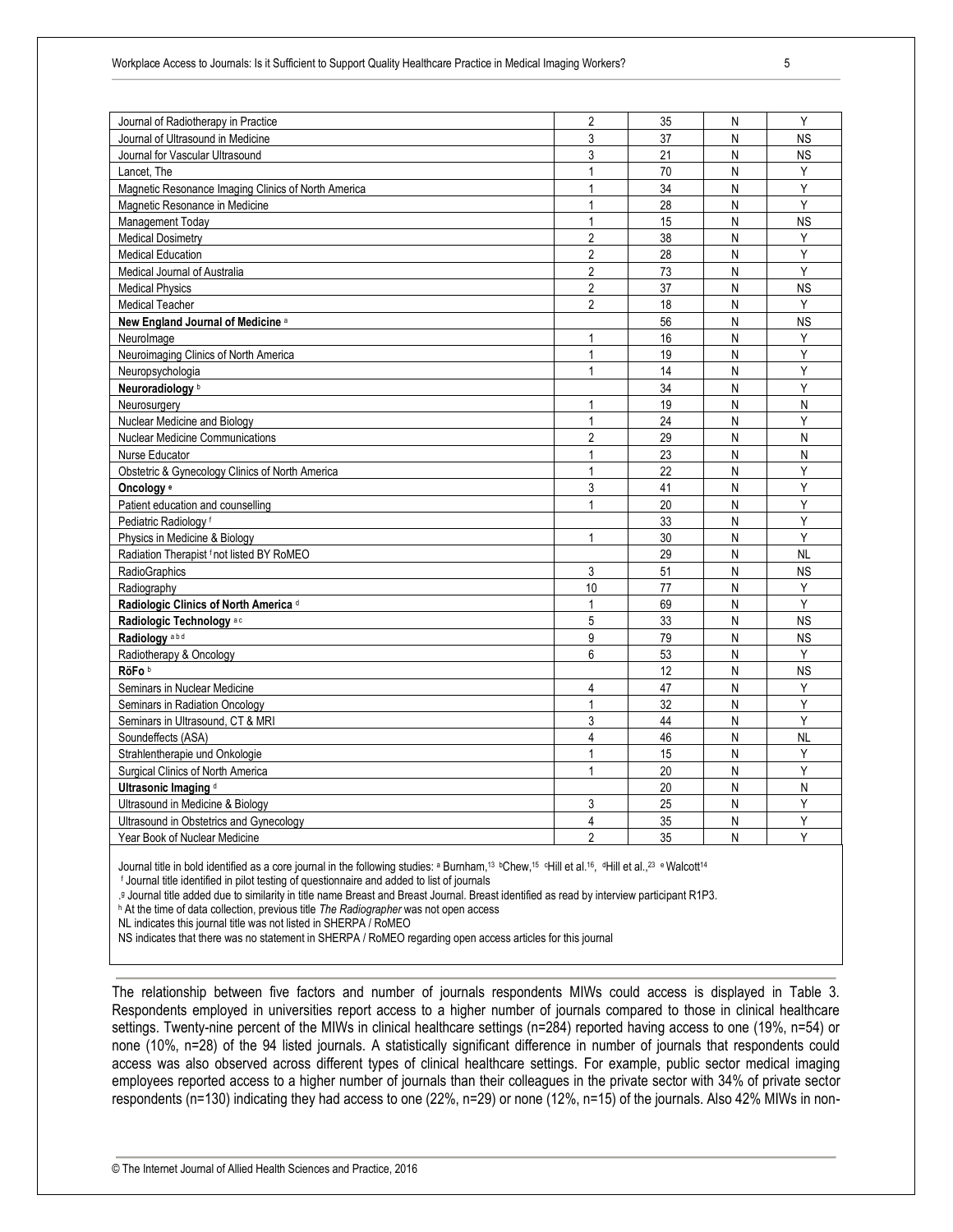| Journal of Radiotherapy in Practice                 | $\overline{2}$ | 35 | N | Y         |
|-----------------------------------------------------|----------------|----|---|-----------|
| Journal of Ultrasound in Medicine                   | 3              | 37 | N | <b>NS</b> |
| Journal for Vascular Ultrasound                     | 3              | 21 | N | <b>NS</b> |
| Lancet. The                                         | 1              | 70 | N | Υ         |
| Magnetic Resonance Imaging Clinics of North America | 1              | 34 | N | Υ         |
| Magnetic Resonance in Medicine                      | 1              | 28 | N | Υ         |
| Management Today                                    | $\mathbf{1}$   | 15 | N | <b>NS</b> |
| <b>Medical Dosimetry</b>                            | $\overline{2}$ | 38 | N | Y         |
| <b>Medical Education</b>                            | $\overline{2}$ | 28 | N | Y         |
| Medical Journal of Australia                        | $\overline{2}$ | 73 | N | Y         |
| <b>Medical Physics</b>                              | $\overline{2}$ | 37 | N | <b>NS</b> |
| <b>Medical Teacher</b>                              | $\overline{2}$ | 18 | N | Y         |
| New England Journal of Medicine a                   |                | 56 | N | <b>NS</b> |
| Neurolmage                                          | $\mathbf{1}$   | 16 | N | Y         |
| Neuroimaging Clinics of North America               | $\mathbf{1}$   | 19 | N | Υ         |
| Neuropsychologia                                    | $\mathbf{1}$   | 14 | N | Y         |
| Neuroradiology <sup>b</sup>                         |                | 34 | N | Υ         |
| Neurosurgery                                        | 1              | 19 | N | N         |
| Nuclear Medicine and Biology                        | $\mathbf{1}$   | 24 | N | Y         |
| <b>Nuclear Medicine Communications</b>              | $\overline{2}$ | 29 | N | N         |
| Nurse Educator                                      | $\mathbf{1}$   | 23 | N | N         |
| Obstetric & Gynecology Clinics of North America     | $\mathbf{1}$   | 22 | N | Y         |
| Oncology <sup>e</sup>                               | 3              | 41 | N | Y         |
| Patient education and counselling                   | 1              | 20 | N | Y         |
| Pediatric Radiology <sup>f</sup>                    |                | 33 | N | Υ         |
| Physics in Medicine & Biology                       | $\mathbf{1}$   | 30 | N | Y         |
| Radiation Therapist f not listed BY RoMEO           |                | 29 | N | NL        |
| RadioGraphics                                       | 3              | 51 | N | <b>NS</b> |
| Radiography                                         | 10             | 77 | N | Υ         |
| Radiologic Clinics of North America d               | 1              | 69 | N | Y         |
| Radiologic Technology <sup>ac</sup>                 | 5              | 33 | N | <b>NS</b> |
| Radiology <sup>abd</sup>                            | 9              | 79 | N | <b>NS</b> |
| Radiotherapy & Oncology                             | 6              | 53 | N | Y         |
| RöFo <sup>b</sup>                                   |                | 12 | N | <b>NS</b> |
| Seminars in Nuclear Medicine                        | 4              | 47 | N | Υ         |
| Seminars in Radiation Oncology                      | $\mathbf{1}$   | 32 | N | Y         |
| Seminars in Ultrasound, CT & MRI                    | 3              | 44 | N | Y         |
| Soundeffects (ASA)                                  | $\overline{4}$ | 46 | N | <b>NL</b> |
| Strahlentherapie und Onkologie                      | 1              | 15 | N | Y         |
| Surgical Clinics of North America                   | 1              | 20 | N | Υ         |
| Ultrasonic Imaging d                                |                | 20 | N | N         |
| Ultrasound in Medicine & Biology                    | 3              | 25 | N | Y         |
| Ultrasound in Obstetrics and Gynecology             | 4              | 35 | N | Υ         |
| Year Book of Nuclear Medicine                       | $\overline{2}$ | 35 | N | Y         |

Journal title in bold identified as a core journal in the following studies: <sup>a</sup> Burnham,<sup>13</sup> <sup>b</sup>Chew,<sup>15</sup> <sup>c</sup>Hill et al.<sup>[16](#page-11-5)</sup>, <sup>dH</sup>ill et al.,<sup>[23](#page-11-6)</sup> e Walcott<sup>14</sup>

<sup>f</sup> Journal title identified in pilot testing of questionnaire and added to list of journals

. <sup>g</sup> Journal title added due to similarity in title name Breast and Breast Journal. Breast identified as read by interview participant R1P3.

<sup>h</sup> At the time of data collection, previous title *The Radiographer* was not open access

NL indicates this journal title was not listed in SHERPA / RoMEO

NS indicates that there was no statement in SHERPA / RoMEO regarding open access articles for this journal

The relationship between five factors and number of journals respondents MIWs could access is displayed in Table 3. Respondents employed in universities report access to a higher number of journals compared to those in clinical healthcare settings. Twenty-nine percent of the MIWs in clinical healthcare settings (n=284) reported having access to one (19%, n=54) or none (10%, n=28) of the 94 listed journals. A statistically significant difference in number of journals that respondents could access was also observed across different types of clinical healthcare settings. For example, public sector medical imaging employees reported access to a higher number of journals than their colleagues in the private sector with 34% of private sector respondents (n=130) indicating they had access to one (22%, n=29) or none (12%, n=15) of the journals. Also 42% MIWs in non-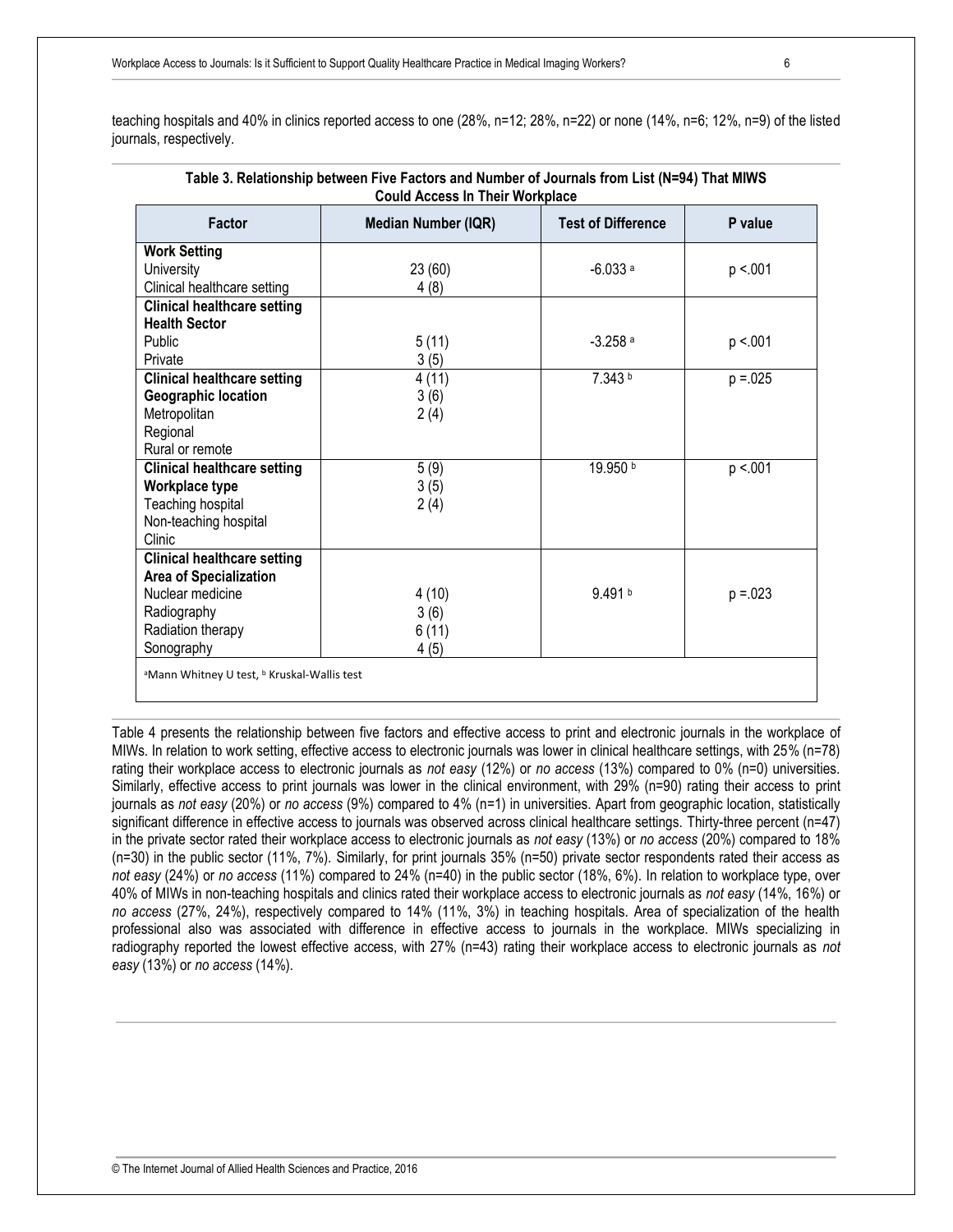teaching hospitals and 40% in clinics reported access to one (28%, n=12; 28%, n=22) or none (14%, n=6; 12%, n=9) of the listed journals, respectively.

| <b>Could Access In Their Workplace</b>                             |                            |                           |             |  |  |
|--------------------------------------------------------------------|----------------------------|---------------------------|-------------|--|--|
| <b>Factor</b>                                                      | <b>Median Number (IQR)</b> | <b>Test of Difference</b> | P value     |  |  |
| <b>Work Setting</b>                                                |                            |                           |             |  |  |
| <b>University</b>                                                  | 23 (60)                    | $-6.033a$                 | p < 001     |  |  |
| Clinical healthcare setting                                        | 4(8)                       |                           |             |  |  |
| <b>Clinical healthcare setting</b>                                 |                            |                           |             |  |  |
| <b>Health Sector</b>                                               |                            |                           |             |  |  |
| Public                                                             | 5(11)                      | $-3.258$ <sup>a</sup>     | p < 001     |  |  |
| Private                                                            | 3(5)                       |                           |             |  |  |
| <b>Clinical healthcare setting</b>                                 | 4(11)                      | 7.343 b                   | $p = 0.025$ |  |  |
| <b>Geographic location</b>                                         | 3(6)                       |                           |             |  |  |
| Metropolitan                                                       | 2(4)                       |                           |             |  |  |
| Regional                                                           |                            |                           |             |  |  |
| Rural or remote                                                    |                            |                           |             |  |  |
| <b>Clinical healthcare setting</b>                                 | 5(9)                       | 19.950 b                  | p < 001     |  |  |
| Workplace type                                                     | 3(5)                       |                           |             |  |  |
| Teaching hospital                                                  | 2(4)                       |                           |             |  |  |
| Non-teaching hospital                                              |                            |                           |             |  |  |
| Clinic                                                             |                            |                           |             |  |  |
| <b>Clinical healthcare setting</b>                                 |                            |                           |             |  |  |
| Area of Specialization                                             |                            |                           |             |  |  |
| Nuclear medicine                                                   | 4(10)                      | 9.491 b                   | $p = 0.023$ |  |  |
| Radiography                                                        | 3(6)                       |                           |             |  |  |
| Radiation therapy                                                  | 6(11)                      |                           |             |  |  |
| Sonography                                                         | 4(5)                       |                           |             |  |  |
| <sup>a</sup> Mann Whitney U test, <sup>b</sup> Kruskal-Wallis test |                            |                           |             |  |  |

# **Table 3. Relationship between Five Factors and Number of Journals from List (N=94) That MIWS**

Table 4 presents the relationship between five factors and effective access to print and electronic journals in the workplace of MIWs. In relation to work setting, effective access to electronic journals was lower in clinical healthcare settings, with 25% (n=78) rating their workplace access to electronic journals as *not easy* (12%) or *no access* (13%) compared to 0% (n=0) universities. Similarly, effective access to print journals was lower in the clinical environment, with 29% (n=90) rating their access to print journals as *not easy* (20%) or *no access* (9%) compared to 4% (n=1) in universities. Apart from geographic location, statistically significant difference in effective access to journals was observed across clinical healthcare settings. Thirty-three percent (n=47) in the private sector rated their workplace access to electronic journals as *not easy* (13%) or *no access* (20%) compared to 18% (n=30) in the public sector (11%, 7%). Similarly, for print journals 35% (n=50) private sector respondents rated their access as *not easy* (24%) or *no access* (11%) compared to 24% (n=40) in the public sector (18%, 6%). In relation to workplace type, over 40% of MIWs in non-teaching hospitals and clinics rated their workplace access to electronic journals as *not easy* (14%, 16%) or *no access* (27%, 24%), respectively compared to 14% (11%, 3%) in teaching hospitals. Area of specialization of the health professional also was associated with difference in effective access to journals in the workplace. MIWs specializing in radiography reported the lowest effective access, with 27% (n=43) rating their workplace access to electronic journals as *not easy* (13%) or *no access* (14%).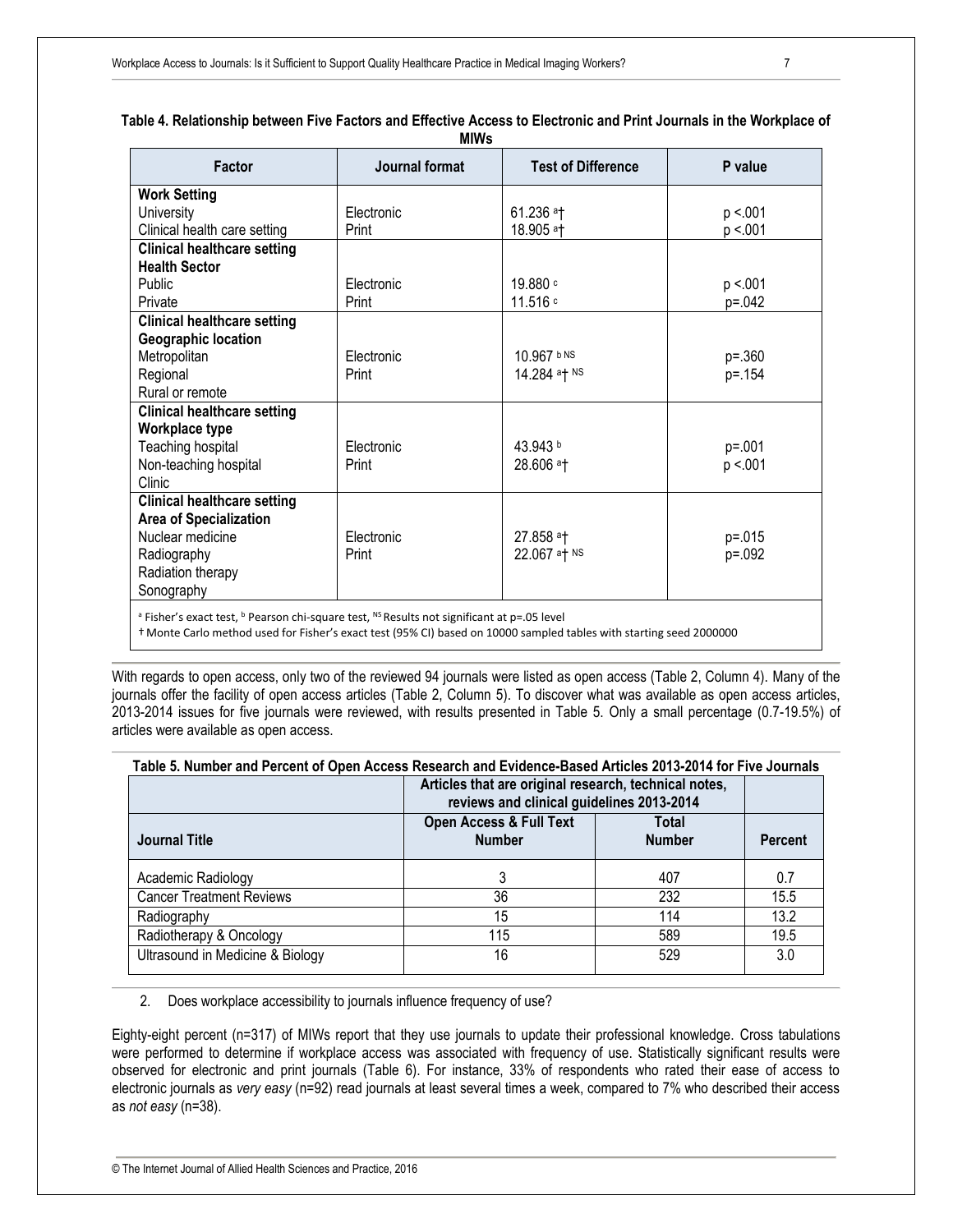|                                                                                                                                  | <b>MIVVS</b>   |                           |             |
|----------------------------------------------------------------------------------------------------------------------------------|----------------|---------------------------|-------------|
| <b>Factor</b>                                                                                                                    | Journal format | <b>Test of Difference</b> | P value     |
| <b>Work Setting</b>                                                                                                              |                |                           |             |
| University                                                                                                                       | Electronic     | $61.236$ <sup>a</sup> T   | p < 001     |
| Clinical health care setting                                                                                                     | Print          | 18.905 at                 | p < 001     |
| <b>Clinical healthcare setting</b>                                                                                               |                |                           |             |
| <b>Health Sector</b>                                                                                                             |                |                           |             |
| Public                                                                                                                           | Electronic     | 19.880 c                  | p < 001     |
| Private                                                                                                                          | Print          | 11.516 c                  | $p = 0.042$ |
| <b>Clinical healthcare setting</b>                                                                                               |                |                           |             |
| Geographic location                                                                                                              |                |                           |             |
| Metropolitan                                                                                                                     | Electronic     | 10.967 bNS                | $p = .360$  |
| Regional                                                                                                                         | Print          | 14.284 at NS              | p=.154      |
| Rural or remote                                                                                                                  |                |                           |             |
| <b>Clinical healthcare setting</b>                                                                                               |                |                           |             |
| Workplace type                                                                                                                   |                |                           |             |
| Teaching hospital                                                                                                                | Electronic     | 43.943 b                  | $p = 0.001$ |
| Non-teaching hospital                                                                                                            | Print          | 28.606 at                 | p < 001     |
| Clinic                                                                                                                           |                |                           |             |
| <b>Clinical healthcare setting</b>                                                                                               |                |                           |             |
| <b>Area of Specialization</b>                                                                                                    |                |                           |             |
| Nuclear medicine                                                                                                                 | Electronic     | 27.858 at                 | $p = 0.015$ |
| Radiography                                                                                                                      | Print          | 22.067 at NS              | p=.092      |
| Radiation therapy                                                                                                                |                |                           |             |
| Sonography                                                                                                                       |                |                           |             |
| <sup>a</sup> Fisher's exact test $\frac{b}{c}$ Pearson chi-square test $\frac{NS}{2}$ Results not significant at $n = 0.5$ level |                |                           |             |

#### **Table 4. Relationship between Five Factors and Effective Access to Electronic and Print Journals in the Workplace of MIWs**

ot significant at p=.u

† Monte Carlo method used for Fisher's exact test (95% CI) based on 10000 sampled tables with starting seed 2000000

With regards to open access, only two of the reviewed 94 journals were listed as open access (Table 2, Column 4). Many of the journals offer the facility of open access articles (Table 2, Column 5). To discover what was available as open access articles, 2013-2014 issues for five journals were reviewed, with results presented in Table 5. Only a small percentage (0.7-19.5%) of articles were available as open access.

| Table 5. Number and Percent of Open Access Research and Evidence-Based Articles 2013-2014 for Five Journals |                                                                                                    |                |      |  |  |
|-------------------------------------------------------------------------------------------------------------|----------------------------------------------------------------------------------------------------|----------------|------|--|--|
|                                                                                                             | Articles that are original research, technical notes,<br>reviews and clinical guidelines 2013-2014 |                |      |  |  |
| <b>Journal Title</b>                                                                                        | <b>Open Access &amp; Full Text</b><br><b>Number</b>                                                | <b>Percent</b> |      |  |  |
| Academic Radiology                                                                                          | 3                                                                                                  | 407            | 0.7  |  |  |
| <b>Cancer Treatment Reviews</b>                                                                             | 36                                                                                                 | 232            | 15.5 |  |  |
| Radiography                                                                                                 | 15                                                                                                 | 114            | 13.2 |  |  |
| Radiotherapy & Oncology                                                                                     | 115                                                                                                | 589            | 19.5 |  |  |
| Ultrasound in Medicine & Biology                                                                            | 16                                                                                                 | 529            | 3.0  |  |  |

2. Does workplace accessibility to journals influence frequency of use?

Eighty-eight percent (n=317) of MIWs report that they use journals to update their professional knowledge. Cross tabulations were performed to determine if workplace access was associated with frequency of use. Statistically significant results were observed for electronic and print journals (Table 6). For instance, 33% of respondents who rated their ease of access to electronic journals as *very easy* (n=92) read journals at least several times a week, compared to 7% who described their access as *not easy* (n=38).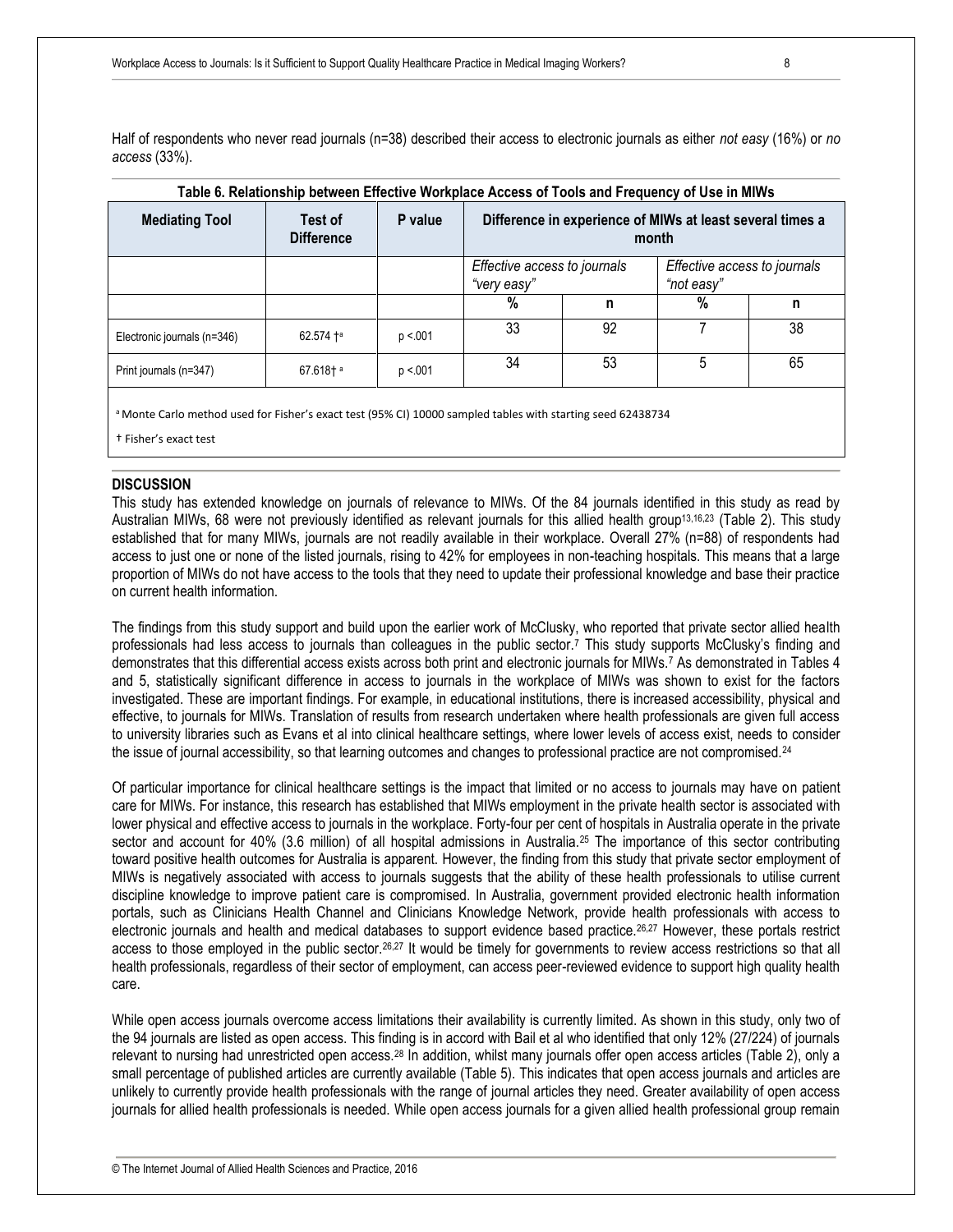Half of respondents who never read journals (n=38) described their access to electronic journals as either *not easy* (16%) or *no access* (33%).

| l able 6. Relationship between Effective Workplace Access of Tools and Frequency of Use in MIWs |                              |         |                                                                    |    |                                            |    |
|-------------------------------------------------------------------------------------------------|------------------------------|---------|--------------------------------------------------------------------|----|--------------------------------------------|----|
| <b>Mediating Tool</b>                                                                           | Test of<br><b>Difference</b> | P value | Difference in experience of MIWs at least several times a<br>month |    |                                            |    |
|                                                                                                 |                              |         | Effective access to journals<br>"very easy"                        |    | Effective access to journals<br>"not easy" |    |
|                                                                                                 |                              |         | %                                                                  | n  | %                                          | n  |
| Electronic journals (n=346)                                                                     | 62.574 ta                    | p < 001 | 33                                                                 | 92 |                                            | 38 |
| Print journals (n=347)                                                                          | $67.618$ ta                  | p < 001 | 34                                                                 | 53 | 5                                          | 65 |
|                                                                                                 |                              |         |                                                                    |    |                                            |    |

#### **Table 6. Relationship between Effective Workplace Access of Tools and Frequency of Use in MIWs**

a Monte Carlo method used for Fisher's exact test (95% CI) 10000 sampled tables with starting seed 62438734

† Fisher's exact test

#### **DISCUSSION**

This study has extended knowledge on journals of relevance to MIWs. Of the 84 journals identified in this study as read by Australian MIWs, 68 were not previously identified as relevant journals for this allied health group<sup>[13,](#page-11-7)[16,](#page-11-5)[23](#page-11-6)</sup> (Table 2). This study established that for many MIWs, journals are not readily available in their workplace. Overall 27% (n=88) of respondents had access to just one or none of the listed journals, rising to 42% for employees in non-teaching hospitals. This means that a large proportion of MIWs do not have access to the tools that they need to update their professional knowledge and base their practice on current health information.

The findings from this study support and build upon the earlier work of McClusky, who reported that private sector allied health professionals had less access to journals than colleagues in the public sector.<sup>7</sup> This study supports McClusky's finding and demonstrates that this differential access exists across both print and electronic journals for MIWs.<sup>7</sup> As demonstrated in Tables 4 and 5, statistically significant difference in access to journals in the workplace of MIWs was shown to exist for the factors investigated. These are important findings. For example, in educational institutions, there is increased accessibility, physical and effective, to journals for MIWs. Translation of results from research undertaken where health professionals are given full access to university libraries such as Evans et al into clinical healthcare settings, where lower levels of access exist, needs to consider the issue of journal accessibility, so that learning outcomes and changes to professional practice are not compromised.<sup>24</sup>

Of particular importance for clinical healthcare settings is the impact that limited or no access to journals may have on patient care for MIWs. For instance, this research has established that MIWs employment in the private health sector is associated with lower physical and effective access to journals in the workplace. Forty-four per cent of hospitals in Australia operate in the private sector and account for 40% (3.6 million) of all hospital admissions in Australia.[25](#page-11-8) The importance of this sector contributing toward positive health outcomes for Australia is apparent. However, the finding from this study that private sector employment of MIWs is negatively associated with access to journals suggests that the ability of these health professionals to utilise current discipline knowledge to improve patient care is compromised. In Australia, government provided electronic health information portals, such as Clinicians Health Channel and Clinicians Knowledge Network, provide health professionals with access to electronic journals and health and medical databases to support evidence based practice.<sup>26,27</sup> However, these portals restrict access to those employed in the public sector.[26,](#page-11-9)[27](#page-11-10) It would be timely for governments to review access restrictions so that all health professionals, regardless of their sector of employment, can access peer-reviewed evidence to support high quality health care.

While open access journals overcome access limitations their availability is currently limited. As shown in this study, only two of the 94 journals are listed as open access. This finding is in accord with Bail et al who identified that only 12% (27/224) of journals relevant to nursing had unrestricted open access.<sup>28</sup> In addition, whilst many journals offer open access articles (Table 2), only a small percentage of published articles are currently available (Table 5). This indicates that open access journals and articles are unlikely to currently provide health professionals with the range of journal articles they need. Greater availability of open access journals for allied health professionals is needed. While open access journals for a given allied health professional group remain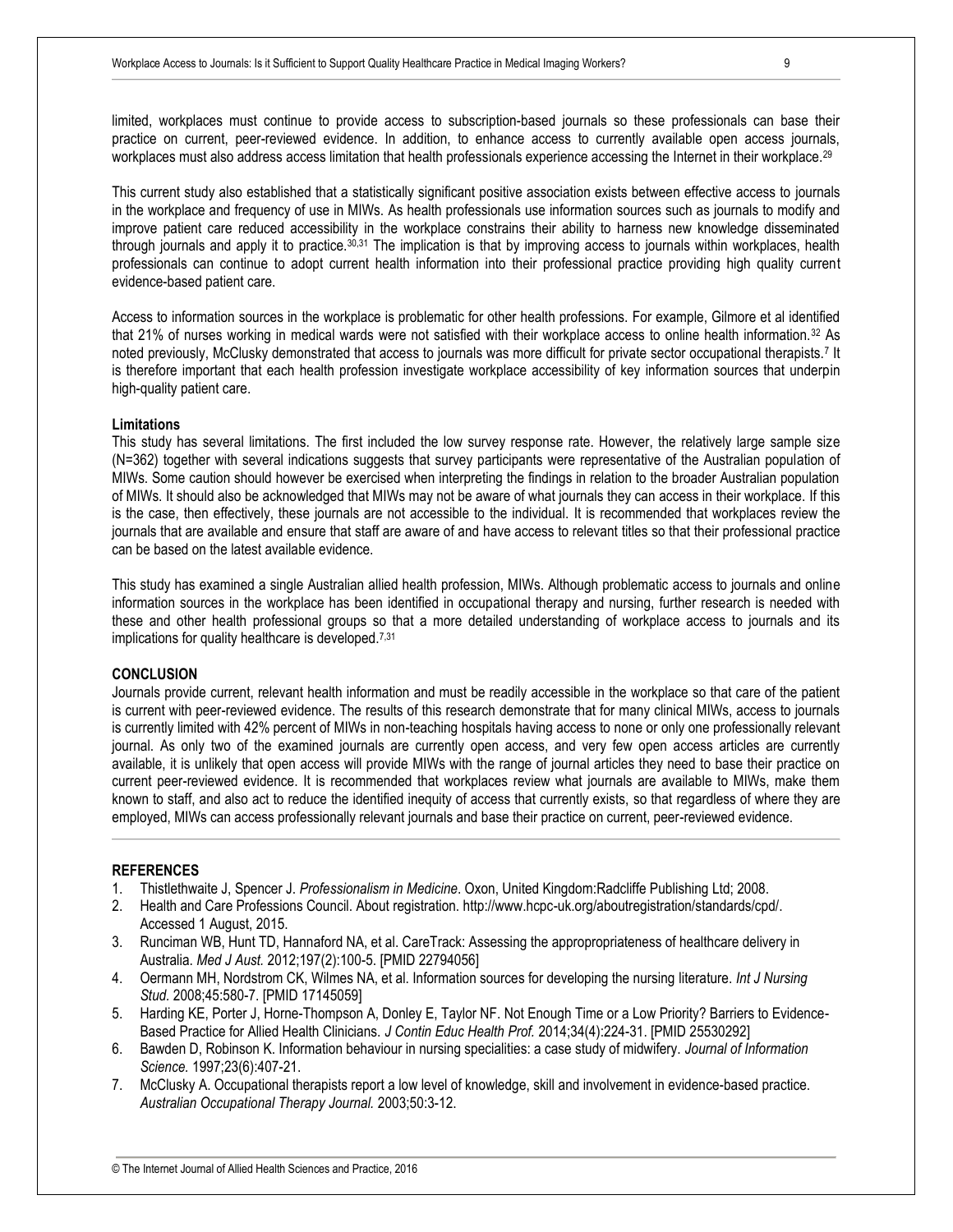limited, workplaces must continue to provide access to subscription-based journals so these professionals can base their practice on current, peer-reviewed evidence. In addition, to enhance access to currently available open access journals, workplaces must also address access limitation that health professionals experience accessing the Internet in their workplace.<sup>29</sup>

This current study also established that a statistically significant positive association exists between effective access to journals in the workplace and frequency of use in MIWs. As health professionals use information sources such as journals to modify and improve patient care reduced accessibility in the workplace constrains their ability to harness new knowledge disseminated through journals and apply it to practice.30,31 The implication is that by improving access to journals within workplaces, health professionals can continue to adopt current health information into their professional practice providing high quality current evidence-based patient care.

Access to information sources in the workplace is problematic for other health professions. For example, Gilmore et al identified that 21% of nurses working in medical wards were not satisfied with their workplace access to online health information.<sup>32</sup> As noted previously, McClusky demonstrated that access to journals was more difficult for private sector occupational therapists.7 It is therefore important that each health profession investigate workplace accessibility of key information sources that underpin high-quality patient care.

#### **Limitations**

This study has several limitations. The first included the low survey response rate. However, the relatively large sample size (N=362) together with several indications suggests that survey participants were representative of the Australian population of MIWs. Some caution should however be exercised when interpreting the findings in relation to the broader Australian population of MIWs. It should also be acknowledged that MIWs may not be aware of what journals they can access in their workplace. If this is the case, then effectively, these journals are not accessible to the individual. It is recommended that workplaces review the journals that are available and ensure that staff are aware of and have access to relevant titles so that their professional practice can be based on the latest available evidence.

This study has examined a single Australian allied health profession, MIWs. Although problematic access to journals and online information sources in the workplace has been identified in occupational therapy and nursing, further research is needed with these and other health professional groups so that a more detailed understanding of workplace access to journals and its implications for quality healthcare is developed.7,31

#### **CONCLUSION**

Journals provide current, relevant health information and must be readily accessible in the workplace so that care of the patient is current with peer-reviewed evidence. The results of this research demonstrate that for many clinical MIWs, access to journals is currently limited with 42% percent of MIWs in non-teaching hospitals having access to none or only one professionally relevant journal. As only two of the examined journals are currently open access, and very few open access articles are currently available, it is unlikely that open access will provide MIWs with the range of journal articles they need to base their practice on current peer-reviewed evidence. It is recommended that workplaces review what journals are available to MIWs, make them known to staff, and also act to reduce the identified inequity of access that currently exists, so that regardless of where they are employed, MIWs can access professionally relevant journals and base their practice on current, peer-reviewed evidence.

#### **REFERENCES**

- 1. Thistlethwaite J, Spencer J. *Professionalism in Medicine*. Oxon, United Kingdom:Radcliffe Publishing Ltd; 2008.
- 2. Health and Care Professions Council. About registration. http://www.hcpc-uk.org/aboutregistration/standards/cpd/. Accessed 1 August, 2015.
- 3. Runciman WB, Hunt TD, Hannaford NA, et al. CareTrack: Assessing the appropropriateness of healthcare delivery in Australia. *Med J Aust.* 2012;197(2):100-5. [PMID 22794056]
- 4. Oermann MH, Nordstrom CK, Wilmes NA, et al. Information sources for developing the nursing literature. *Int J Nursing Stud.* 2008;45:580-7. [PMID 17145059]
- 5. Harding KE, Porter J, Horne-Thompson A, Donley E, Taylor NF. Not Enough Time or a Low Priority? Barriers to Evidence-Based Practice for Allied Health Clinicians. *J Contin Educ Health Prof.* 2014;34(4):224-31. [PMID 25530292]
- 6. Bawden D, Robinson K. Information behaviour in nursing specialities: a case study of midwifery. *Journal of Information Science.* 1997;23(6):407-21.
- 7. McClusky A. Occupational therapists report a low level of knowledge, skill and involvement in evidence-based practice. *Australian Occupational Therapy Journal.* 2003;50:3-12.